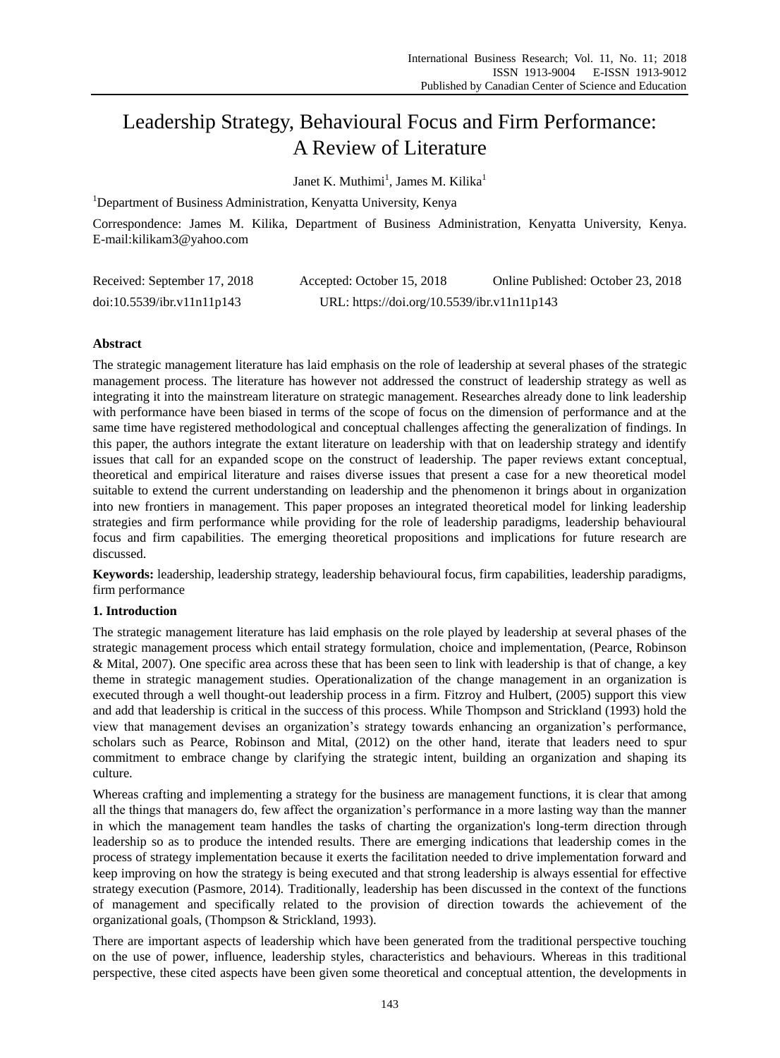# Leadership Strategy, Behavioural Focus and Firm Performance: A Review of Literature

Janet K. Muthimi<sup>1</sup>, James M. Kilika<sup>1</sup>

<sup>1</sup>Department of Business Administration, Kenyatta University, Kenya

Correspondence: James M. Kilika, Department of Business Administration, Kenyatta University, Kenya. E-mail:kilikam3@yahoo.com

| Received: September 17, 2018 | Accepted: October 15, 2018                  | Online Published: October 23, 2018 |
|------------------------------|---------------------------------------------|------------------------------------|
| doi:10.5539/ibr.v11n11p143   | URL: https://doi.org/10.5539/ibr.v11n11p143 |                                    |

# **Abstract**

The strategic management literature has laid emphasis on the role of leadership at several phases of the strategic management process. The literature has however not addressed the construct of leadership strategy as well as integrating it into the mainstream literature on strategic management. Researches already done to link leadership with performance have been biased in terms of the scope of focus on the dimension of performance and at the same time have registered methodological and conceptual challenges affecting the generalization of findings. In this paper, the authors integrate the extant literature on leadership with that on leadership strategy and identify issues that call for an expanded scope on the construct of leadership. The paper reviews extant conceptual, theoretical and empirical literature and raises diverse issues that present a case for a new theoretical model suitable to extend the current understanding on leadership and the phenomenon it brings about in organization into new frontiers in management. This paper proposes an integrated theoretical model for linking leadership strategies and firm performance while providing for the role of leadership paradigms, leadership behavioural focus and firm capabilities. The emerging theoretical propositions and implications for future research are discussed.

**Keywords:** leadership, leadership strategy, leadership behavioural focus, firm capabilities, leadership paradigms, firm performance

# **1. Introduction**

The strategic management literature has laid emphasis on the role played by leadership at several phases of the strategic management process which entail strategy formulation, choice and implementation, (Pearce, Robinson & Mital, 2007). One specific area across these that has been seen to link with leadership is that of change, a key theme in strategic management studies. Operationalization of the change management in an organization is executed through a well thought-out leadership process in a firm. Fitzroy and Hulbert, (2005) support this view and add that leadership is critical in the success of this process. While Thompson and Strickland (1993) hold the view that management devises an organization's strategy towards enhancing an organization's performance, scholars such as Pearce, Robinson and Mital, (2012) on the other hand, iterate that leaders need to spur commitment to embrace change by clarifying the strategic intent, building an organization and shaping its culture.

Whereas crafting and implementing a strategy for the business are management functions, it is clear that among all the things that managers do, few affect the organization's performance in a more lasting way than the manner in which the management team handles the tasks of charting the organization's long-term direction through leadership so as to produce the intended results. There are emerging indications that leadership comes in the process of strategy implementation because it exerts the facilitation needed to drive implementation forward and keep improving on how the strategy is being executed and that strong leadership is always essential for effective strategy execution (Pasmore, 2014). Traditionally, leadership has been discussed in the context of the functions of management and specifically related to the provision of direction towards the achievement of the organizational goals, (Thompson & Strickland, 1993).

There are important aspects of leadership which have been generated from the traditional perspective touching on the use of power, influence, leadership styles, characteristics and behaviours. Whereas in this traditional perspective, these cited aspects have been given some theoretical and conceptual attention, the developments in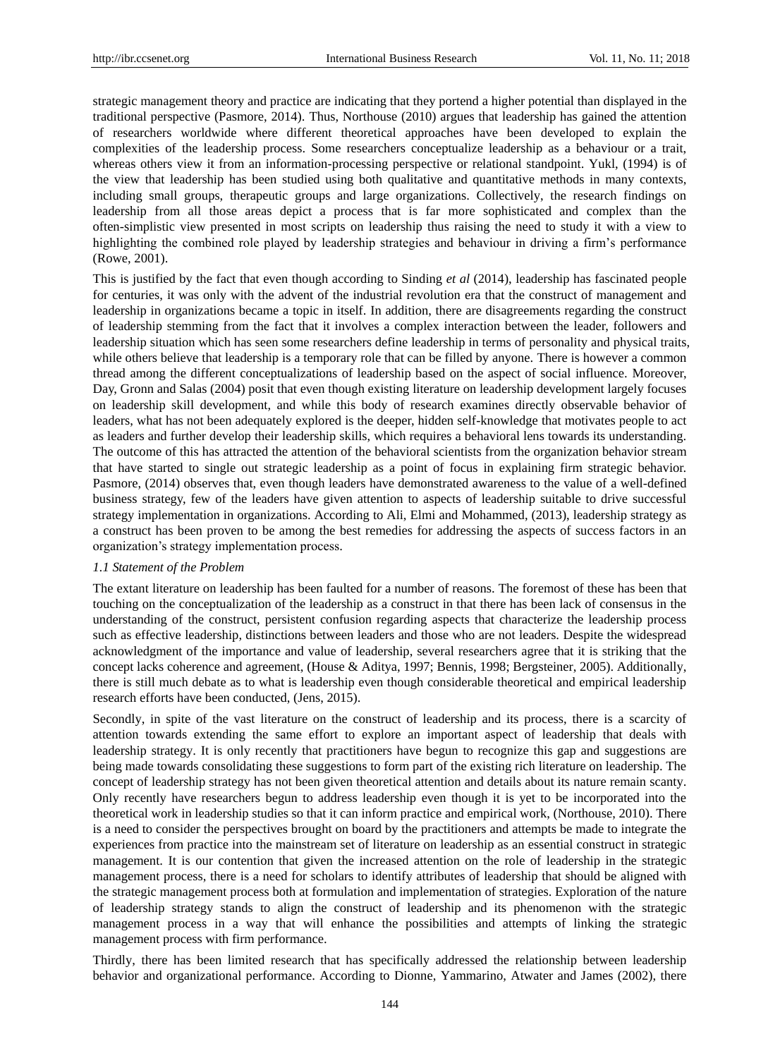strategic management theory and practice are indicating that they portend a higher potential than displayed in the traditional perspective (Pasmore, 2014). Thus, Northouse (2010) argues that leadership has gained the attention of researchers worldwide where different theoretical approaches have been developed to explain the complexities of the leadership process. Some researchers conceptualize leadership as a behaviour or a trait, whereas others view it from an information-processing perspective or relational standpoint. Yukl, (1994) is of the view that leadership has been studied using both qualitative and quantitative methods in many contexts, including small groups, therapeutic groups and large organizations. Collectively, the research findings on leadership from all those areas depict a process that is far more sophisticated and complex than the often-simplistic view presented in most scripts on leadership thus raising the need to study it with a view to highlighting the combined role played by leadership strategies and behaviour in driving a firm's performance (Rowe, 2001).

This is justified by the fact that even though according to Sinding *et al* (2014), leadership has fascinated people for centuries, it was only with the advent of the industrial revolution era that the construct of management and leadership in organizations became a topic in itself. In addition, there are disagreements regarding the construct of leadership stemming from the fact that it involves a complex interaction between the leader, followers and leadership situation which has seen some researchers define leadership in terms of personality and physical traits, while others believe that leadership is a temporary role that can be filled by anyone. There is however a common thread among the different conceptualizations of leadership based on the aspect of social influence. Moreover, Day, Gronn and Salas (2004) posit that even though existing literature on leadership development largely focuses on leadership skill development, and while this body of research examines directly observable behavior of leaders, what has not been adequately explored is the deeper, hidden self-knowledge that motivates people to act as leaders and further develop their leadership skills, which requires a behavioral lens towards its understanding. The outcome of this has attracted the attention of the behavioral scientists from the organization behavior stream that have started to single out strategic leadership as a point of focus in explaining firm strategic behavior. Pasmore, (2014) observes that, even though leaders have demonstrated awareness to the value of a well-defined business strategy, few of the leaders have given attention to aspects of leadership suitable to drive successful strategy implementation in organizations. According to Ali, Elmi and Mohammed, (2013), leadership strategy as a construct has been proven to be among the best remedies for addressing the aspects of success factors in an organization's strategy implementation process.

#### *1.1 Statement of the Problem*

The extant literature on leadership has been faulted for a number of reasons. The foremost of these has been that touching on the conceptualization of the leadership as a construct in that there has been lack of consensus in the understanding of the construct, persistent confusion regarding aspects that characterize the leadership process such as effective leadership, distinctions between leaders and those who are not leaders. Despite the widespread acknowledgment of the importance and value of leadership, several researchers agree that it is striking that the concept lacks coherence and agreement, (House & Aditya, 1997; Bennis, 1998; Bergsteiner, 2005). Additionally, there is still much debate as to what is leadership even though considerable theoretical and empirical leadership research efforts have been conducted, (Jens, 2015).

Secondly, in spite of the vast literature on the construct of leadership and its process, there is a scarcity of attention towards extending the same effort to explore an important aspect of leadership that deals with leadership strategy. It is only recently that practitioners have begun to recognize this gap and suggestions are being made towards consolidating these suggestions to form part of the existing rich literature on leadership. The concept of leadership strategy has not been given theoretical attention and details about its nature remain scanty. Only recently have researchers begun to address leadership even though it is yet to be incorporated into the theoretical work in leadership studies so that it can inform practice and empirical work, (Northouse, 2010). There is a need to consider the perspectives brought on board by the practitioners and attempts be made to integrate the experiences from practice into the mainstream set of literature on leadership as an essential construct in strategic management. It is our contention that given the increased attention on the role of leadership in the strategic management process, there is a need for scholars to identify attributes of leadership that should be aligned with the strategic management process both at formulation and implementation of strategies. Exploration of the nature of leadership strategy stands to align the construct of leadership and its phenomenon with the strategic management process in a way that will enhance the possibilities and attempts of linking the strategic management process with firm performance.

Thirdly, there has been limited research that has specifically addressed the relationship between leadership behavior and organizational performance. According to Dionne, Yammarino, Atwater and James (2002), there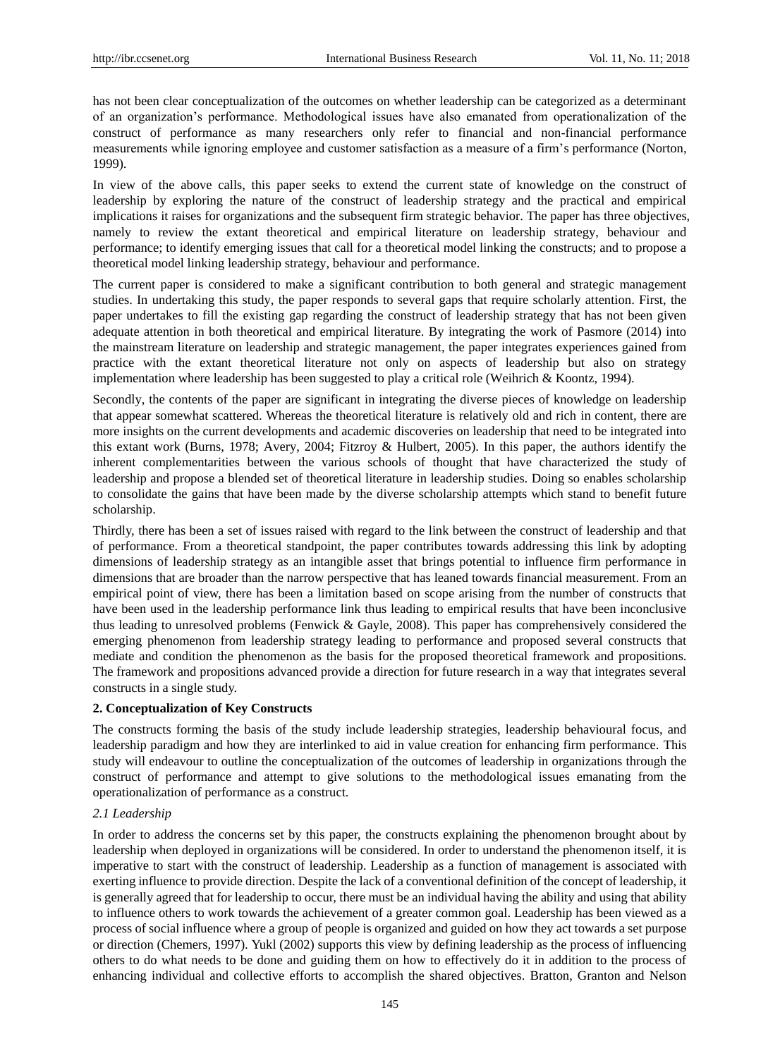has not been clear conceptualization of the outcomes on whether leadership can be categorized as a determinant of an organization's performance. Methodological issues have also emanated from operationalization of the construct of performance as many researchers only refer to financial and non-financial performance measurements while ignoring employee and customer satisfaction as a measure of a firm's performance (Norton, 1999).

In view of the above calls, this paper seeks to extend the current state of knowledge on the construct of leadership by exploring the nature of the construct of leadership strategy and the practical and empirical implications it raises for organizations and the subsequent firm strategic behavior. The paper has three objectives, namely to review the extant theoretical and empirical literature on leadership strategy, behaviour and performance; to identify emerging issues that call for a theoretical model linking the constructs; and to propose a theoretical model linking leadership strategy, behaviour and performance.

The current paper is considered to make a significant contribution to both general and strategic management studies. In undertaking this study, the paper responds to several gaps that require scholarly attention. First, the paper undertakes to fill the existing gap regarding the construct of leadership strategy that has not been given adequate attention in both theoretical and empirical literature. By integrating the work of Pasmore (2014) into the mainstream literature on leadership and strategic management, the paper integrates experiences gained from practice with the extant theoretical literature not only on aspects of leadership but also on strategy implementation where leadership has been suggested to play a critical role (Weihrich & Koontz, 1994).

Secondly, the contents of the paper are significant in integrating the diverse pieces of knowledge on leadership that appear somewhat scattered. Whereas the theoretical literature is relatively old and rich in content, there are more insights on the current developments and academic discoveries on leadership that need to be integrated into this extant work (Burns, 1978; Avery, 2004; Fitzroy & Hulbert, 2005). In this paper, the authors identify the inherent complementarities between the various schools of thought that have characterized the study of leadership and propose a blended set of theoretical literature in leadership studies. Doing so enables scholarship to consolidate the gains that have been made by the diverse scholarship attempts which stand to benefit future scholarship.

Thirdly, there has been a set of issues raised with regard to the link between the construct of leadership and that of performance. From a theoretical standpoint, the paper contributes towards addressing this link by adopting dimensions of leadership strategy as an intangible asset that brings potential to influence firm performance in dimensions that are broader than the narrow perspective that has leaned towards financial measurement. From an empirical point of view, there has been a limitation based on scope arising from the number of constructs that have been used in the leadership performance link thus leading to empirical results that have been inconclusive thus leading to unresolved problems (Fenwick & Gayle, 2008). This paper has comprehensively considered the emerging phenomenon from leadership strategy leading to performance and proposed several constructs that mediate and condition the phenomenon as the basis for the proposed theoretical framework and propositions. The framework and propositions advanced provide a direction for future research in a way that integrates several constructs in a single study.

# **2. Conceptualization of Key Constructs**

The constructs forming the basis of the study include leadership strategies, leadership behavioural focus, and leadership paradigm and how they are interlinked to aid in value creation for enhancing firm performance. This study will endeavour to outline the conceptualization of the outcomes of leadership in organizations through the construct of performance and attempt to give solutions to the methodological issues emanating from the operationalization of performance as a construct.

# *2.1 Leadership*

In order to address the concerns set by this paper, the constructs explaining the phenomenon brought about by leadership when deployed in organizations will be considered. In order to understand the phenomenon itself, it is imperative to start with the construct of leadership. Leadership as a function of management is associated with exerting influence to provide direction. Despite the lack of a conventional definition of the concept of leadership, it is generally agreed that for leadership to occur, there must be an individual having the ability and using that ability to influence others to work towards the achievement of a greater common goal. Leadership has been viewed as a process of social influence where a group of people is organized and guided on how they act towards a set purpose or direction (Chemers, 1997). Yukl (2002) supports this view by defining leadership as the process of influencing others to do what needs to be done and guiding them on how to effectively do it in addition to the process of enhancing individual and collective efforts to accomplish the shared objectives. Bratton, Granton and Nelson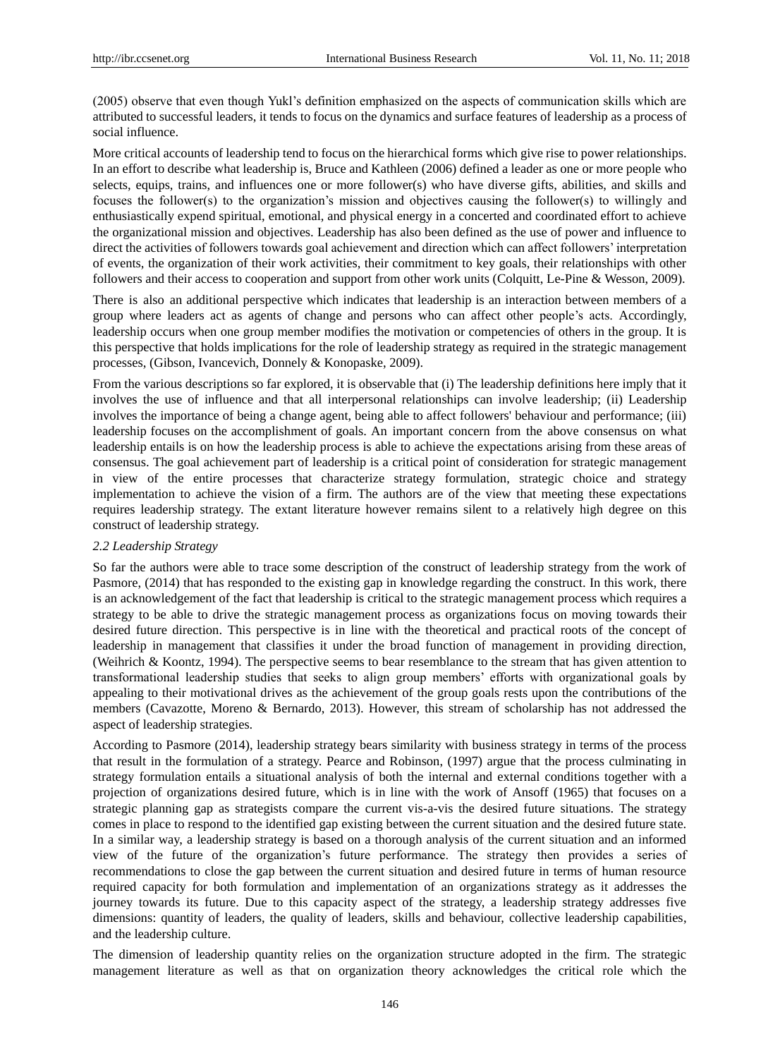(2005) observe that even though Yukl's definition emphasized on the aspects of communication skills which are attributed to successful leaders, it tends to focus on the dynamics and surface features of leadership as a process of social influence.

More critical accounts of leadership tend to focus on the hierarchical forms which give rise to power relationships. In an effort to describe what leadership is, Bruce and Kathleen (2006) defined a leader as one or more people who selects, equips, trains, and influences one or more follower(s) who have diverse gifts, abilities, and skills and focuses the follower(s) to the organization's mission and objectives causing the follower(s) to willingly and enthusiastically expend spiritual, emotional, and physical energy in a concerted and coordinated effort to achieve the organizational mission and objectives. Leadership has also been defined as the use of power and influence to direct the activities of followers towards goal achievement and direction which can affect followers' interpretation of events, the organization of their work activities, their commitment to key goals, their relationships with other followers and their access to cooperation and support from other work units (Colquitt, Le-Pine & Wesson, 2009).

There is also an additional perspective which indicates that leadership is an interaction between members of a group where leaders act as agents of change and persons who can affect other people's acts. Accordingly, leadership occurs when one group member modifies the motivation or competencies of others in the group. It is this perspective that holds implications for the role of leadership strategy as required in the strategic management processes, (Gibson, Ivancevich, Donnely & Konopaske, 2009).

From the various descriptions so far explored, it is observable that (i) The leadership definitions here imply that it involves the use of influence and that all interpersonal relationships can involve leadership; (ii) Leadership involves the importance of being a change agent, being able to affect followers' behaviour and performance; (iii) leadership focuses on the accomplishment of goals. An important concern from the above consensus on what leadership entails is on how the leadership process is able to achieve the expectations arising from these areas of consensus. The goal achievement part of leadership is a critical point of consideration for strategic management in view of the entire processes that characterize strategy formulation, strategic choice and strategy implementation to achieve the vision of a firm. The authors are of the view that meeting these expectations requires leadership strategy. The extant literature however remains silent to a relatively high degree on this construct of leadership strategy.

# *2.2 Leadership Strategy*

So far the authors were able to trace some description of the construct of leadership strategy from the work of Pasmore, (2014) that has responded to the existing gap in knowledge regarding the construct. In this work, there is an acknowledgement of the fact that leadership is critical to the strategic management process which requires a strategy to be able to drive the strategic management process as organizations focus on moving towards their desired future direction. This perspective is in line with the theoretical and practical roots of the concept of leadership in management that classifies it under the broad function of management in providing direction, (Weihrich & Koontz, 1994). The perspective seems to bear resemblance to the stream that has given attention to transformational leadership studies that seeks to align group members' efforts with organizational goals by appealing to their motivational drives as the achievement of the group goals rests upon the contributions of the members (Cavazotte, Moreno & Bernardo, 2013). However, this stream of scholarship has not addressed the aspect of leadership strategies.

According to Pasmore (2014), leadership strategy bears similarity with business strategy in terms of the process that result in the formulation of a strategy. Pearce and Robinson, (1997) argue that the process culminating in strategy formulation entails a situational analysis of both the internal and external conditions together with a projection of organizations desired future, which is in line with the work of Ansoff (1965) that focuses on a strategic planning gap as strategists compare the current vis-a-vis the desired future situations. The strategy comes in place to respond to the identified gap existing between the current situation and the desired future state. In a similar way, a leadership strategy is based on a thorough analysis of the current situation and an informed view of the future of the organization's future performance. The strategy then provides a series of recommendations to close the gap between the current situation and desired future in terms of human resource required capacity for both formulation and implementation of an organizations strategy as it addresses the journey towards its future. Due to this capacity aspect of the strategy, a leadership strategy addresses five dimensions: quantity of leaders, the quality of leaders, skills and behaviour, collective leadership capabilities, and the leadership culture.

The dimension of leadership quantity relies on the organization structure adopted in the firm. The strategic management literature as well as that on organization theory acknowledges the critical role which the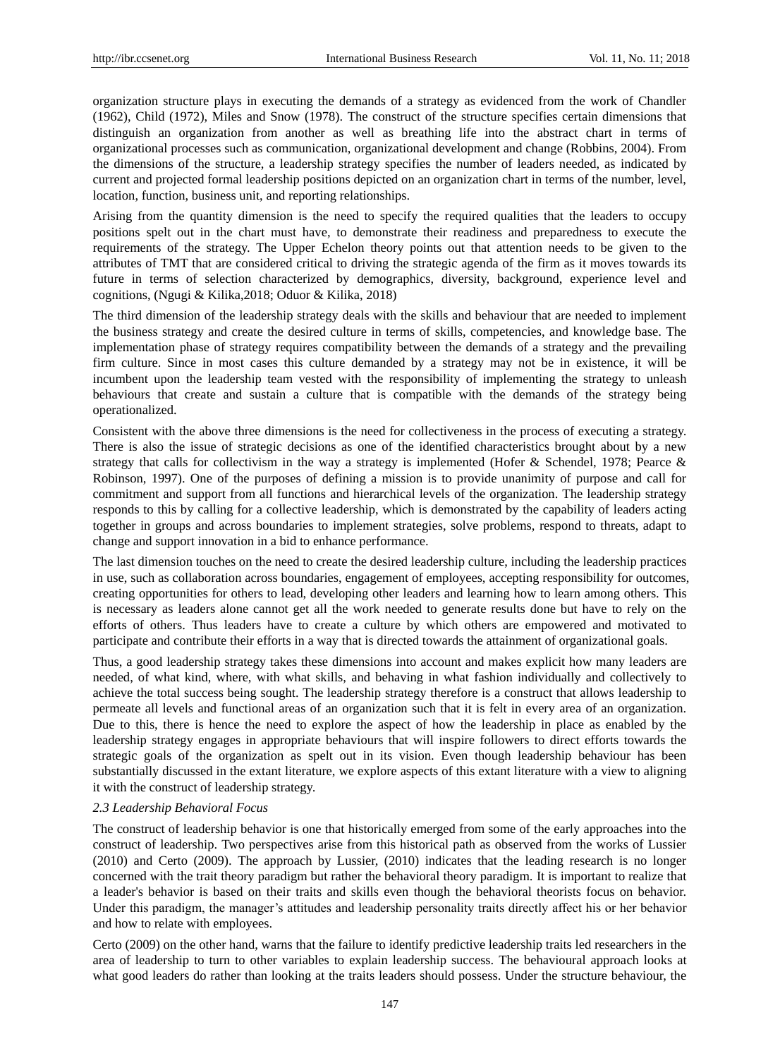organization structure plays in executing the demands of a strategy as evidenced from the work of Chandler (1962), Child (1972), Miles and Snow (1978). The construct of the structure specifies certain dimensions that distinguish an organization from another as well as breathing life into the abstract chart in terms of organizational processes such as communication, organizational development and change (Robbins, 2004). From the dimensions of the structure, a leadership strategy specifies the number of leaders needed, as indicated by current and projected formal leadership positions depicted on an organization chart in terms of the number, level, location, function, business unit, and reporting relationships.

Arising from the quantity dimension is the need to specify the required qualities that the leaders to occupy positions spelt out in the chart must have, to demonstrate their readiness and preparedness to execute the requirements of the strategy. The Upper Echelon theory points out that attention needs to be given to the attributes of TMT that are considered critical to driving the strategic agenda of the firm as it moves towards its future in terms of selection characterized by demographics, diversity, background, experience level and cognitions, (Ngugi & Kilika,2018; Oduor & Kilika, 2018)

The third dimension of the leadership strategy deals with the skills and behaviour that are needed to implement the business strategy and create the desired culture in terms of skills, competencies, and knowledge base. The implementation phase of strategy requires compatibility between the demands of a strategy and the prevailing firm culture. Since in most cases this culture demanded by a strategy may not be in existence, it will be incumbent upon the leadership team vested with the responsibility of implementing the strategy to unleash behaviours that create and sustain a culture that is compatible with the demands of the strategy being operationalized.

Consistent with the above three dimensions is the need for collectiveness in the process of executing a strategy. There is also the issue of strategic decisions as one of the identified characteristics brought about by a new strategy that calls for collectivism in the way a strategy is implemented (Hofer & Schendel, 1978; Pearce & Robinson, 1997). One of the purposes of defining a mission is to provide unanimity of purpose and call for commitment and support from all functions and hierarchical levels of the organization. The leadership strategy responds to this by calling for a collective leadership, which is demonstrated by the capability of leaders acting together in groups and across boundaries to implement strategies, solve problems, respond to threats, adapt to change and support innovation in a bid to enhance performance.

The last dimension touches on the need to create the desired leadership culture, including the leadership practices in use, such as collaboration across boundaries, engagement of employees, accepting responsibility for outcomes, creating opportunities for others to lead, developing other leaders and learning how to learn among others. This is necessary as leaders alone cannot get all the work needed to generate results done but have to rely on the efforts of others. Thus leaders have to create a culture by which others are empowered and motivated to participate and contribute their efforts in a way that is directed towards the attainment of organizational goals.

Thus, a good leadership strategy takes these dimensions into account and makes explicit how many leaders are needed, of what kind, where, with what skills, and behaving in what fashion individually and collectively to achieve the total success being sought. The leadership strategy therefore is a construct that allows leadership to permeate all levels and functional areas of an organization such that it is felt in every area of an organization. Due to this, there is hence the need to explore the aspect of how the leadership in place as enabled by the leadership strategy engages in appropriate behaviours that will inspire followers to direct efforts towards the strategic goals of the organization as spelt out in its vision. Even though leadership behaviour has been substantially discussed in the extant literature, we explore aspects of this extant literature with a view to aligning it with the construct of leadership strategy.

#### *2.3 Leadership Behavioral Focus*

The construct of leadership behavior is one that historically emerged from some of the early approaches into the construct of leadership. Two perspectives arise from this historical path as observed from the works of Lussier (2010) and Certo (2009). The approach by Lussier, (2010) indicates that the leading research is no longer concerned with the trait theory paradigm but rather the behavioral theory paradigm. It is important to realize that a leader's behavior is based on their traits and skills even though the behavioral theorists focus on behavior. Under this paradigm, the manager's attitudes and leadership personality traits directly affect his or her behavior and how to relate with employees.

Certo (2009) on the other hand, warns that the failure to identify predictive leadership traits led researchers in the area of leadership to turn to other variables to explain leadership success. The behavioural approach looks at what good leaders do rather than looking at the traits leaders should possess. Under the structure behaviour, the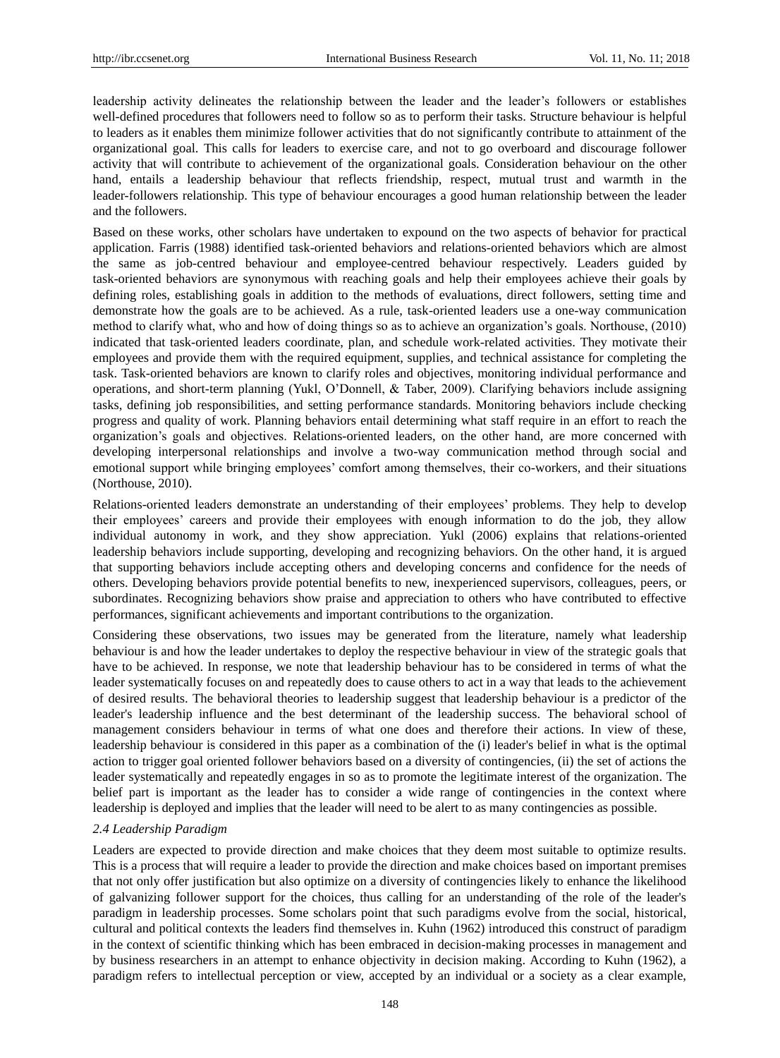leadership activity delineates the relationship between the leader and the leader's followers or establishes well-defined procedures that followers need to follow so as to perform their tasks. Structure behaviour is helpful to leaders as it enables them minimize follower activities that do not significantly contribute to attainment of the organizational goal. This calls for leaders to exercise care, and not to go overboard and discourage follower activity that will contribute to achievement of the organizational goals. Consideration behaviour on the other hand, entails a leadership behaviour that reflects friendship, respect, mutual trust and warmth in the leader-followers relationship. This type of behaviour encourages a good human relationship between the leader and the followers.

Based on these works, other scholars have undertaken to expound on the two aspects of behavior for practical application. Farris (1988) identified task-oriented behaviors and relations-oriented behaviors which are almost the same as job-centred behaviour and employee-centred behaviour respectively. Leaders guided by task-oriented behaviors are synonymous with reaching goals and help their employees achieve their goals by defining roles, establishing goals in addition to the methods of evaluations, direct followers, setting time and demonstrate how the goals are to be achieved. As a rule, task-oriented leaders use a one-way communication method to clarify what, who and how of doing things so as to achieve an organization's goals. Northouse, (2010) indicated that task-oriented leaders coordinate, plan, and schedule work-related activities. They motivate their employees and provide them with the required equipment, supplies, and technical assistance for completing the task. Task-oriented behaviors are known to clarify roles and objectives, monitoring individual performance and operations, and short-term planning (Yukl, O'Donnell, & Taber, 2009). Clarifying behaviors include assigning tasks, defining job responsibilities, and setting performance standards. Monitoring behaviors include checking progress and quality of work. Planning behaviors entail determining what staff require in an effort to reach the organization's goals and objectives. Relations-oriented leaders, on the other hand, are more concerned with developing interpersonal relationships and involve a two-way communication method through social and emotional support while bringing employees' comfort among themselves, their co-workers, and their situations (Northouse, 2010).

Relations-oriented leaders demonstrate an understanding of their employees' problems. They help to develop their employees' careers and provide their employees with enough information to do the job, they allow individual autonomy in work, and they show appreciation. Yukl (2006) explains that relations-oriented leadership behaviors include supporting, developing and recognizing behaviors. On the other hand, it is argued that supporting behaviors include accepting others and developing concerns and confidence for the needs of others. Developing behaviors provide potential benefits to new, inexperienced supervisors, colleagues, peers, or subordinates. Recognizing behaviors show praise and appreciation to others who have contributed to effective performances, significant achievements and important contributions to the organization.

Considering these observations, two issues may be generated from the literature, namely what leadership behaviour is and how the leader undertakes to deploy the respective behaviour in view of the strategic goals that have to be achieved. In response, we note that leadership behaviour has to be considered in terms of what the leader systematically focuses on and repeatedly does to cause others to act in a way that leads to the achievement of desired results. The behavioral theories to leadership suggest that leadership behaviour is a predictor of the leader's leadership influence and the best determinant of the leadership success. The behavioral school of management considers behaviour in terms of what one does and therefore their actions. In view of these, leadership behaviour is considered in this paper as a combination of the (i) leader's belief in what is the optimal action to trigger goal oriented follower behaviors based on a diversity of contingencies, (ii) the set of actions the leader systematically and repeatedly engages in so as to promote the legitimate interest of the organization. The belief part is important as the leader has to consider a wide range of contingencies in the context where leadership is deployed and implies that the leader will need to be alert to as many contingencies as possible.

# *2.4 Leadership Paradigm*

Leaders are expected to provide direction and make choices that they deem most suitable to optimize results. This is a process that will require a leader to provide the direction and make choices based on important premises that not only offer justification but also optimize on a diversity of contingencies likely to enhance the likelihood of galvanizing follower support for the choices, thus calling for an understanding of the role of the leader's paradigm in leadership processes. Some scholars point that such paradigms evolve from the social, historical, cultural and political contexts the leaders find themselves in. Kuhn (1962) introduced this construct of paradigm in the context of scientific thinking which has been embraced in decision-making processes in management and by business researchers in an attempt to enhance objectivity in decision making. According to Kuhn (1962), a paradigm refers to intellectual perception or view, accepted by an individual or a society as a clear example,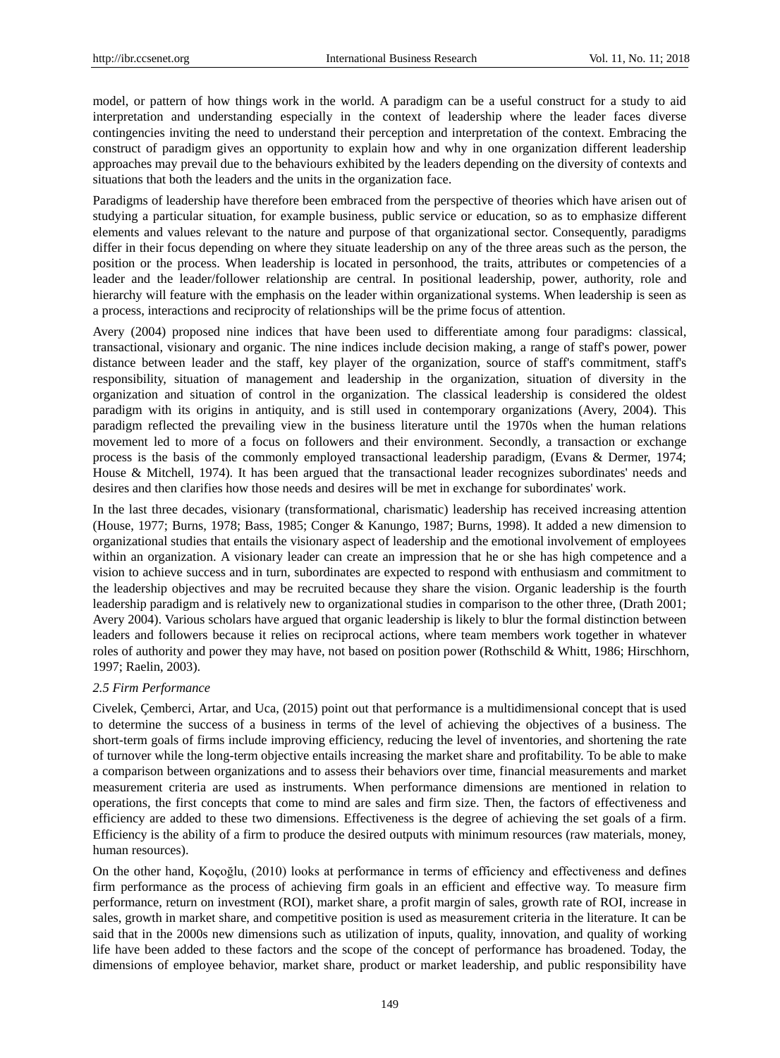model, or pattern of how things work in the world. A paradigm can be a useful construct for a study to aid interpretation and understanding especially in the context of leadership where the leader faces diverse contingencies inviting the need to understand their perception and interpretation of the context. Embracing the construct of paradigm gives an opportunity to explain how and why in one organization different leadership approaches may prevail due to the behaviours exhibited by the leaders depending on the diversity of contexts and situations that both the leaders and the units in the organization face.

Paradigms of leadership have therefore been embraced from the perspective of theories which have arisen out of studying a particular situation, for example business, public service or education, so as to emphasize different elements and values relevant to the nature and purpose of that organizational sector. Consequently, paradigms differ in their focus depending on where they situate leadership on any of the three areas such as the person, the position or the process. When leadership is located in personhood, the traits, attributes or competencies of a leader and the leader/follower relationship are central. In positional leadership, power, authority, role and hierarchy will feature with the emphasis on the leader within organizational systems. When leadership is seen as a process, interactions and reciprocity of relationships will be the prime focus of attention.

Avery (2004) proposed nine indices that have been used to differentiate among four paradigms: classical, transactional, visionary and organic. The nine indices include decision making, a range of staff's power, power distance between leader and the staff, key player of the organization, source of staff's commitment, staff's responsibility, situation of management and leadership in the organization, situation of diversity in the organization and situation of control in the organization. The classical leadership is considered the oldest paradigm with its origins in antiquity, and is still used in contemporary organizations (Avery, 2004). This paradigm reflected the prevailing view in the business literature until the 1970s when the human relations movement led to more of a focus on followers and their environment. Secondly, a transaction or exchange process is the basis of the commonly employed transactional leadership paradigm, (Evans & Dermer, 1974; House & Mitchell, 1974). It has been argued that the transactional leader recognizes subordinates' needs and desires and then clarifies how those needs and desires will be met in exchange for subordinates' work.

In the last three decades, visionary (transformational, charismatic) leadership has received increasing attention (House, 1977; Burns, 1978; Bass, 1985; Conger & Kanungo, 1987; Burns, 1998). It added a new dimension to organizational studies that entails the visionary aspect of leadership and the emotional involvement of employees within an organization. A visionary leader can create an impression that he or she has high competence and a vision to achieve success and in turn, subordinates are expected to respond with enthusiasm and commitment to the leadership objectives and may be recruited because they share the vision. Organic leadership is the fourth leadership paradigm and is relatively new to organizational studies in comparison to the other three, (Drath 2001; Avery 2004). Various scholars have argued that organic leadership is likely to blur the formal distinction between leaders and followers because it relies on reciprocal actions, where team members work together in whatever roles of authority and power they may have, not based on position power (Rothschild & Whitt, 1986; Hirschhorn, 1997; Raelin, 2003).

# *2.5 Firm Performance*

Civelek, Çemberci, Artar, and Uca, (2015) point out that performance is a multidimensional concept that is used to determine the success of a business in terms of the level of achieving the objectives of a business. The short-term goals of firms include improving efficiency, reducing the level of inventories, and shortening the rate of turnover while the long-term objective entails increasing the market share and profitability. To be able to make a comparison between organizations and to assess their behaviors over time, financial measurements and market measurement criteria are used as instruments. When performance dimensions are mentioned in relation to operations, the first concepts that come to mind are sales and firm size. Then, the factors of effectiveness and efficiency are added to these two dimensions. Effectiveness is the degree of achieving the set goals of a firm. Efficiency is the ability of a firm to produce the desired outputs with minimum resources (raw materials, money, human resources).

On the other hand, Koçoğlu, (2010) looks at performance in terms of efficiency and effectiveness and defines firm performance as the process of achieving firm goals in an efficient and effective way. To measure firm performance, return on investment (ROI), market share, a profit margin of sales, growth rate of ROI, increase in sales, growth in market share, and competitive position is used as measurement criteria in the literature. It can be said that in the 2000s new dimensions such as utilization of inputs, quality, innovation, and quality of working life have been added to these factors and the scope of the concept of performance has broadened. Today, the dimensions of employee behavior, market share, product or market leadership, and public responsibility have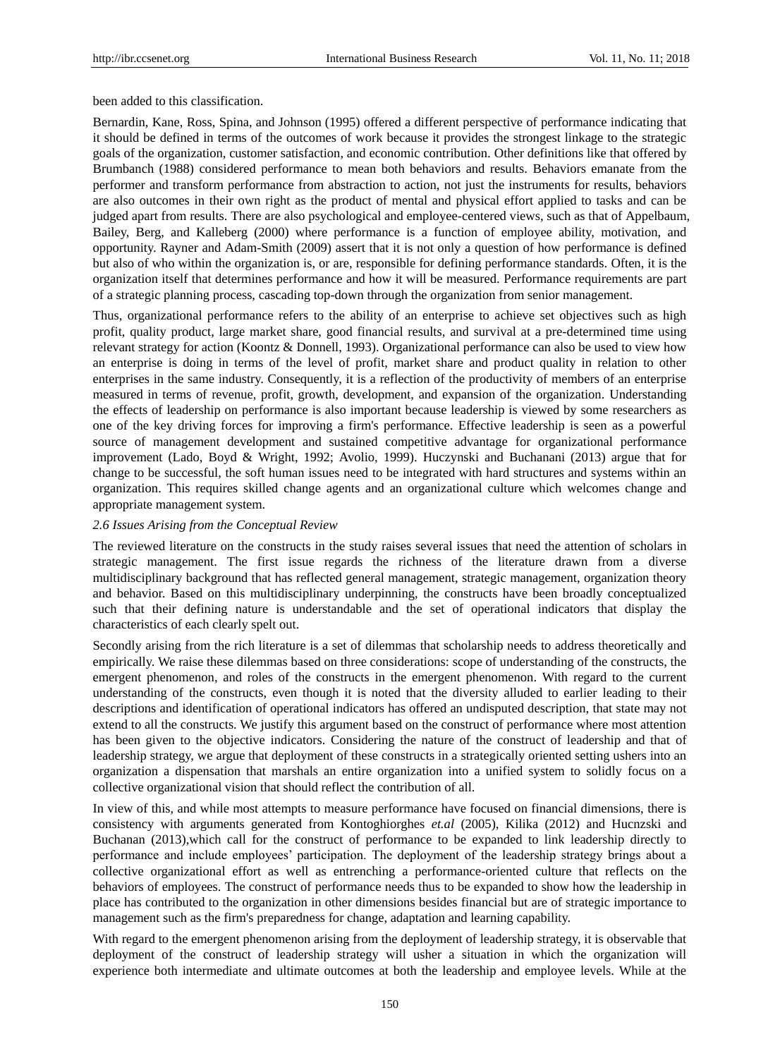been added to this classification.

Bernardin, Kane, Ross, Spina, and Johnson (1995) offered a different perspective of performance indicating that it should be defined in terms of the outcomes of work because it provides the strongest linkage to the strategic goals of the organization, customer satisfaction, and economic contribution. Other definitions like that offered by Brumbanch (1988) considered performance to mean both behaviors and results. Behaviors emanate from the performer and transform performance from abstraction to action, not just the instruments for results, behaviors are also outcomes in their own right as the product of mental and physical effort applied to tasks and can be judged apart from results. There are also psychological and employee-centered views, such as that of Appelbaum, Bailey, Berg, and Kalleberg (2000) where performance is a function of employee ability, motivation, and opportunity. Rayner and Adam-Smith (2009) assert that it is not only a question of how performance is defined but also of who within the organization is, or are, responsible for defining performance standards. Often, it is the organization itself that determines performance and how it will be measured. Performance requirements are part of a strategic planning process, cascading top-down through the organization from senior management.

Thus, organizational performance refers to the ability of an enterprise to achieve set objectives such as high profit, quality product, large market share, good financial results, and survival at a pre-determined time using relevant strategy for action (Koontz & Donnell, 1993). Organizational performance can also be used to view how an enterprise is doing in terms of the level of profit, market share and product quality in relation to other enterprises in the same industry. Consequently, it is a reflection of the productivity of members of an enterprise measured in terms of revenue, profit, growth, development, and expansion of the organization. Understanding the effects of leadership on performance is also important because leadership is viewed by some researchers as one of the key driving forces for improving a firm's performance. Effective leadership is seen as a powerful source of management development and sustained competitive advantage for organizational performance improvement (Lado, Boyd & Wright, 1992; Avolio, 1999). Huczynski and Buchanani (2013) argue that for change to be successful, the soft human issues need to be integrated with hard structures and systems within an organization. This requires skilled change agents and an organizational culture which welcomes change and appropriate management system.

# *2.6 Issues Arising from the Conceptual Review*

The reviewed literature on the constructs in the study raises several issues that need the attention of scholars in strategic management. The first issue regards the richness of the literature drawn from a diverse multidisciplinary background that has reflected general management, strategic management, organization theory and behavior. Based on this multidisciplinary underpinning, the constructs have been broadly conceptualized such that their defining nature is understandable and the set of operational indicators that display the characteristics of each clearly spelt out.

Secondly arising from the rich literature is a set of dilemmas that scholarship needs to address theoretically and empirically. We raise these dilemmas based on three considerations: scope of understanding of the constructs, the emergent phenomenon, and roles of the constructs in the emergent phenomenon. With regard to the current understanding of the constructs, even though it is noted that the diversity alluded to earlier leading to their descriptions and identification of operational indicators has offered an undisputed description, that state may not extend to all the constructs. We justify this argument based on the construct of performance where most attention has been given to the objective indicators. Considering the nature of the construct of leadership and that of leadership strategy, we argue that deployment of these constructs in a strategically oriented setting ushers into an organization a dispensation that marshals an entire organization into a unified system to solidly focus on a collective organizational vision that should reflect the contribution of all.

In view of this, and while most attempts to measure performance have focused on financial dimensions, there is consistency with arguments generated from Kontoghiorghes *et.al* (2005), Kilika (2012) and Hucnzski and Buchanan (2013),which call for the construct of performance to be expanded to link leadership directly to performance and include employees' participation. The deployment of the leadership strategy brings about a collective organizational effort as well as entrenching a performance-oriented culture that reflects on the behaviors of employees. The construct of performance needs thus to be expanded to show how the leadership in place has contributed to the organization in other dimensions besides financial but are of strategic importance to management such as the firm's preparedness for change, adaptation and learning capability.

With regard to the emergent phenomenon arising from the deployment of leadership strategy, it is observable that deployment of the construct of leadership strategy will usher a situation in which the organization will experience both intermediate and ultimate outcomes at both the leadership and employee levels. While at the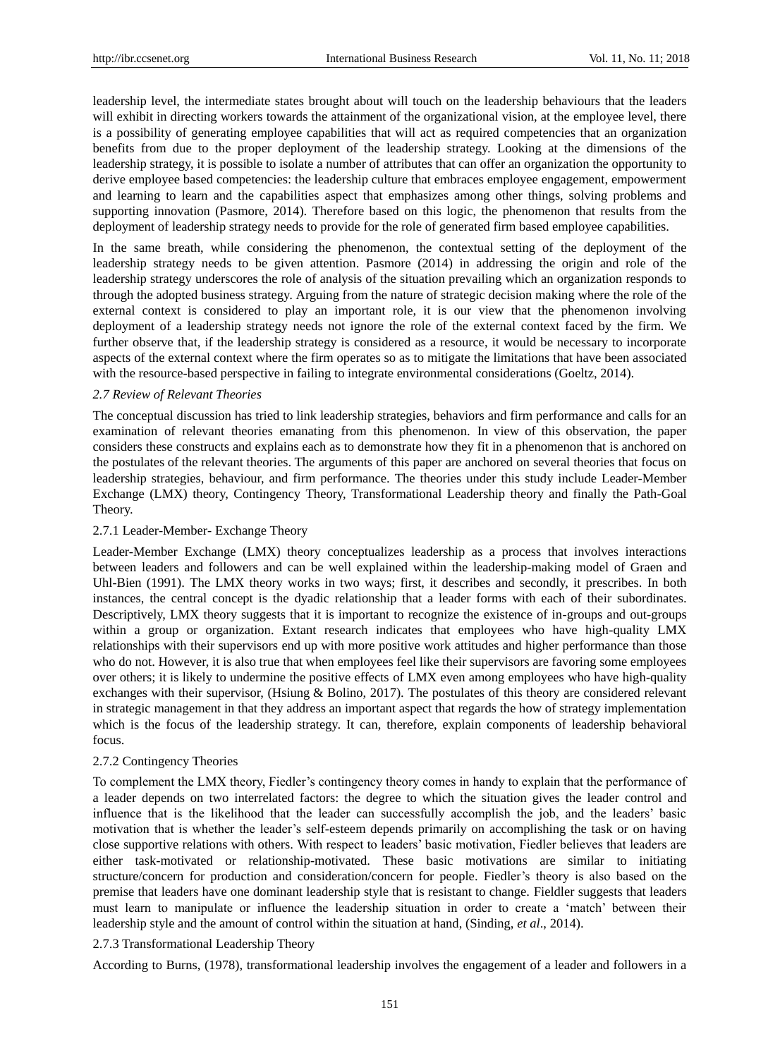leadership level, the intermediate states brought about will touch on the leadership behaviours that the leaders will exhibit in directing workers towards the attainment of the organizational vision, at the employee level, there is a possibility of generating employee capabilities that will act as required competencies that an organization benefits from due to the proper deployment of the leadership strategy. Looking at the dimensions of the leadership strategy, it is possible to isolate a number of attributes that can offer an organization the opportunity to derive employee based competencies: the leadership culture that embraces employee engagement, empowerment and learning to learn and the capabilities aspect that emphasizes among other things, solving problems and supporting innovation (Pasmore, 2014). Therefore based on this logic, the phenomenon that results from the deployment of leadership strategy needs to provide for the role of generated firm based employee capabilities.

In the same breath, while considering the phenomenon, the contextual setting of the deployment of the leadership strategy needs to be given attention. Pasmore (2014) in addressing the origin and role of the leadership strategy underscores the role of analysis of the situation prevailing which an organization responds to through the adopted business strategy. Arguing from the nature of strategic decision making where the role of the external context is considered to play an important role, it is our view that the phenomenon involving deployment of a leadership strategy needs not ignore the role of the external context faced by the firm. We further observe that, if the leadership strategy is considered as a resource, it would be necessary to incorporate aspects of the external context where the firm operates so as to mitigate the limitations that have been associated with the resource-based perspective in failing to integrate environmental considerations (Goeltz, 2014).

#### *2.7 Review of Relevant Theories*

The conceptual discussion has tried to link leadership strategies, behaviors and firm performance and calls for an examination of relevant theories emanating from this phenomenon. In view of this observation, the paper considers these constructs and explains each as to demonstrate how they fit in a phenomenon that is anchored on the postulates of the relevant theories. The arguments of this paper are anchored on several theories that focus on leadership strategies, behaviour, and firm performance. The theories under this study include Leader-Member Exchange (LMX) theory, Contingency Theory, Transformational Leadership theory and finally the Path-Goal Theory.

## 2.7.1 Leader-Member- Exchange Theory

Leader-Member Exchange (LMX) theory conceptualizes leadership as a process that involves interactions between leaders and followers and can be well explained within the leadership-making model of Graen and Uhl-Bien (1991). The LMX theory works in two ways; first, it describes and secondly, it prescribes. In both instances, the central concept is the dyadic relationship that a leader forms with each of their subordinates. Descriptively, LMX theory suggests that it is important to recognize the existence of in-groups and out-groups within a group or organization. Extant research indicates that employees who have high-quality LMX relationships with their supervisors end up with more positive work attitudes and higher performance than those who do not. However, it is also true that when employees feel like their supervisors are favoring some employees over others; it is likely to undermine the positive effects of LMX even among employees who have high-quality exchanges with their supervisor, [\(Hsiung](http://www.tandfonline.com/author/Hsiung%2C+Hsin-Hua) & [Bolino,](http://www.tandfonline.com/author/Bolino%2C+Mark+C) 2017). The postulates of this theory are considered relevant in strategic management in that they address an important aspect that regards the how of strategy implementation which is the focus of the leadership strategy. It can, therefore, explain components of leadership behavioral focus.

# 2.7.2 Contingency Theories

To complement the LMX theory, Fiedler's contingency theory comes in handy to explain that the performance of a leader depends on two interrelated factors: the degree to which the situation gives the leader control and influence that is the likelihood that the leader can successfully accomplish the job, and the leaders' basic motivation that is whether the leader's self-esteem depends primarily on accomplishing the task or on having close supportive relations with others. With respect to leaders' basic motivation, Fiedler believes that leaders are either task-motivated or relationship-motivated. These basic motivations are similar to initiating structure/concern for production and consideration/concern for people. Fiedler's theory is also based on the premise that leaders have one dominant leadership style that is resistant to change. Fieldler suggests that leaders must learn to manipulate or influence the leadership situation in order to create a 'match' between their leadership style and the amount of control within the situation at hand, (Sinding, *et al*., 2014).

# 2.7.3 Transformational Leadership Theory

According to Burns, (1978), transformational leadership involves the engagement of a leader and followers in a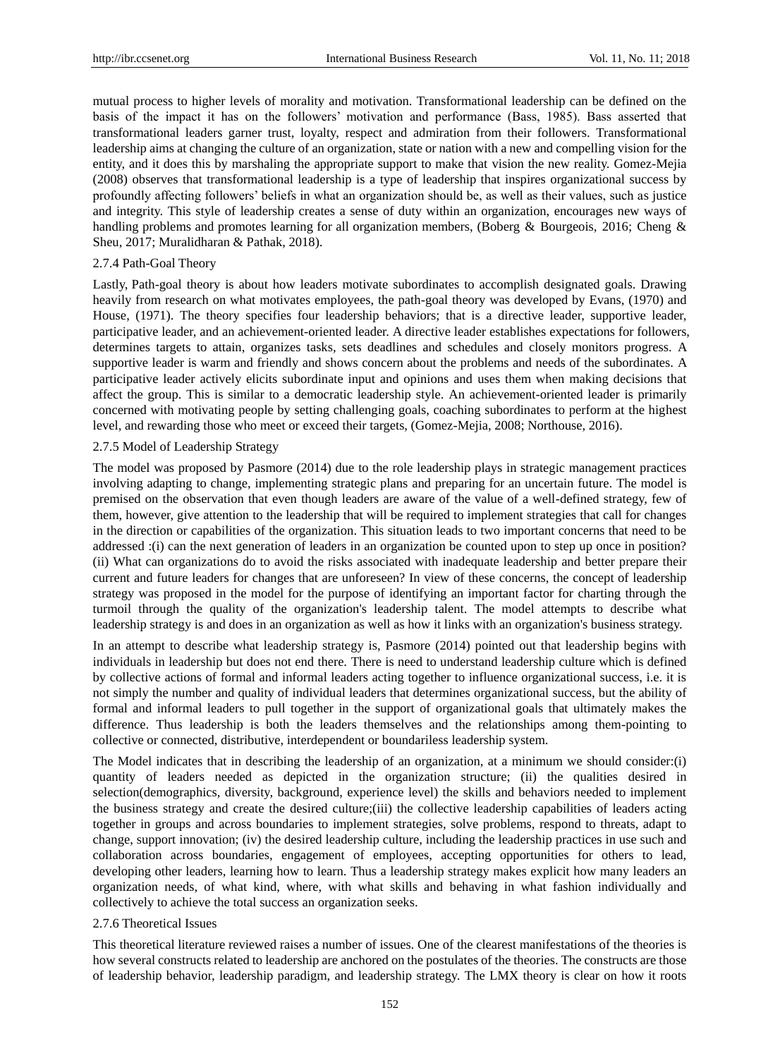mutual process to higher levels of morality and motivation. Transformational leadership can be defined on the basis of the impact it has on the followers' motivation and performance (Bass, 1985). Bass asserted that transformational leaders garner trust, loyalty, respect and admiration from their followers. Transformational leadership aims at changing the culture of an organization, state or nation with a new and compelling vision for the entity, and it does this by marshaling the appropriate support to make that vision the new reality. Gomez-Mejia (2008) observes that transformational leadership is a type of leadership that inspires organizational success by profoundly affecting followers' beliefs in what an organization should be, as well as their values, such as justice and integrity. This style of leadership creates a sense of duty within an organization, encourages new ways of handling problems and promotes learning for all organization members, (Boberg & Bourgeois, 2016; Cheng & Sheu, 2017; Muralidharan & Pathak, 2018).

#### 2.7.4 Path-Goal Theory

Lastly, Path-goal theory is about how leaders motivate subordinates to accomplish designated goals. Drawing heavily from research on what motivates employees, the path-goal theory was developed by Evans, (1970) and House, (1971). The theory specifies four leadership behaviors; that is a directive leader, supportive leader, participative leader, and an achievement-oriented leader. A directive leader establishes expectations for followers, determines targets to attain, organizes tasks, sets deadlines and schedules and closely monitors progress. A supportive leader is warm and friendly and shows concern about the problems and needs of the subordinates. A participative leader actively elicits subordinate input and opinions and uses them when making decisions that affect the group. This is similar to a democratic leadership style. An achievement-oriented leader is primarily concerned with motivating people by setting challenging goals, coaching subordinates to perform at the highest level, and rewarding those who meet or exceed their targets, (Gomez-Mejia, 2008; Northouse, 2016).

# 2.7.5 Model of Leadership Strategy

The model was proposed by Pasmore (2014) due to the role leadership plays in strategic management practices involving adapting to change, implementing strategic plans and preparing for an uncertain future. The model is premised on the observation that even though leaders are aware of the value of a well-defined strategy, few of them, however, give attention to the leadership that will be required to implement strategies that call for changes in the direction or capabilities of the organization. This situation leads to two important concerns that need to be addressed :(i) can the next generation of leaders in an organization be counted upon to step up once in position? (ii) What can organizations do to avoid the risks associated with inadequate leadership and better prepare their current and future leaders for changes that are unforeseen? In view of these concerns, the concept of leadership strategy was proposed in the model for the purpose of identifying an important factor for charting through the turmoil through the quality of the organization's leadership talent. The model attempts to describe what leadership strategy is and does in an organization as well as how it links with an organization's business strategy.

In an attempt to describe what leadership strategy is, Pasmore (2014) pointed out that leadership begins with individuals in leadership but does not end there. There is need to understand leadership culture which is defined by collective actions of formal and informal leaders acting together to influence organizational success, i.e. it is not simply the number and quality of individual leaders that determines organizational success, but the ability of formal and informal leaders to pull together in the support of organizational goals that ultimately makes the difference. Thus leadership is both the leaders themselves and the relationships among them-pointing to collective or connected, distributive, interdependent or boundariless leadership system.

The Model indicates that in describing the leadership of an organization, at a minimum we should consider:(i) quantity of leaders needed as depicted in the organization structure; (ii) the qualities desired in selection(demographics, diversity, background, experience level) the skills and behaviors needed to implement the business strategy and create the desired culture;(iii) the collective leadership capabilities of leaders acting together in groups and across boundaries to implement strategies, solve problems, respond to threats, adapt to change, support innovation; (iv) the desired leadership culture, including the leadership practices in use such and collaboration across boundaries, engagement of employees, accepting opportunities for others to lead, developing other leaders, learning how to learn. Thus a leadership strategy makes explicit how many leaders an organization needs, of what kind, where, with what skills and behaving in what fashion individually and collectively to achieve the total success an organization seeks.

#### 2.7.6 Theoretical Issues

This theoretical literature reviewed raises a number of issues. One of the clearest manifestations of the theories is how several constructs related to leadership are anchored on the postulates of the theories. The constructs are those of leadership behavior, leadership paradigm, and leadership strategy. The LMX theory is clear on how it roots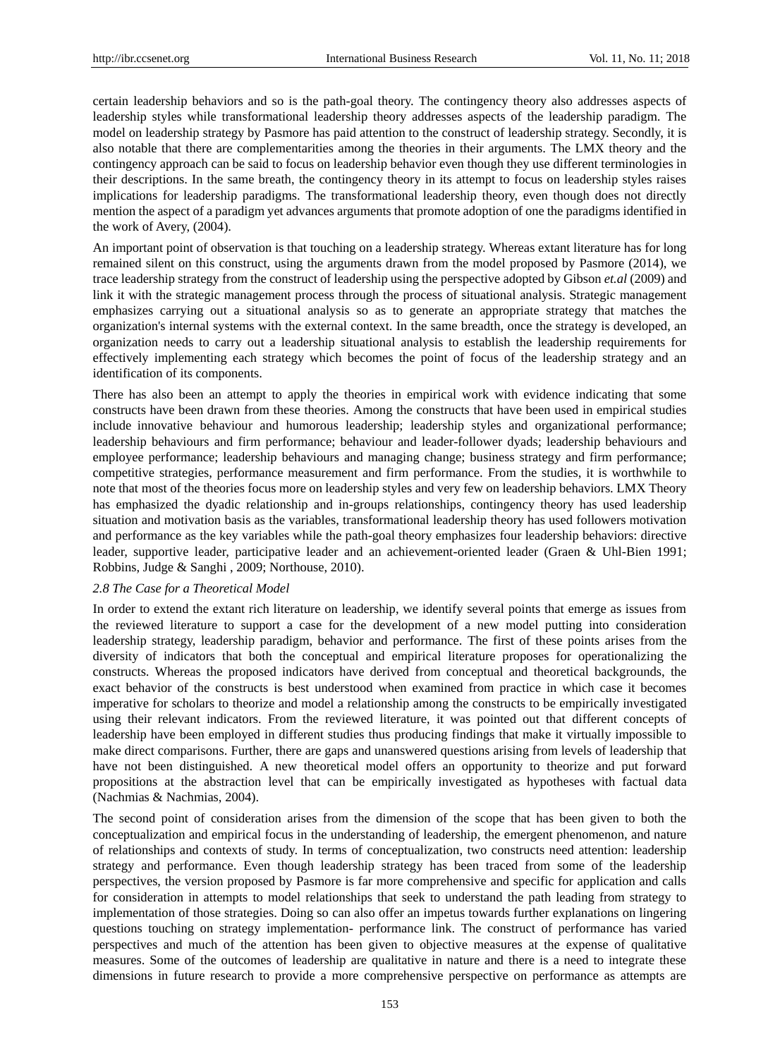certain leadership behaviors and so is the path-goal theory. The contingency theory also addresses aspects of leadership styles while transformational leadership theory addresses aspects of the leadership paradigm. The model on leadership strategy by Pasmore has paid attention to the construct of leadership strategy. Secondly, it is also notable that there are complementarities among the theories in their arguments. The LMX theory and the contingency approach can be said to focus on leadership behavior even though they use different terminologies in their descriptions. In the same breath, the contingency theory in its attempt to focus on leadership styles raises implications for leadership paradigms. The transformational leadership theory, even though does not directly mention the aspect of a paradigm yet advances arguments that promote adoption of one the paradigms identified in the work of Avery, (2004).

An important point of observation is that touching on a leadership strategy. Whereas extant literature has for long remained silent on this construct, using the arguments drawn from the model proposed by Pasmore (2014), we trace leadership strategy from the construct of leadership using the perspective adopted by Gibson *et.al* (2009) and link it with the strategic management process through the process of situational analysis. Strategic management emphasizes carrying out a situational analysis so as to generate an appropriate strategy that matches the organization's internal systems with the external context. In the same breadth, once the strategy is developed, an organization needs to carry out a leadership situational analysis to establish the leadership requirements for effectively implementing each strategy which becomes the point of focus of the leadership strategy and an identification of its components.

There has also been an attempt to apply the theories in empirical work with evidence indicating that some constructs have been drawn from these theories. Among the constructs that have been used in empirical studies include innovative behaviour and humorous leadership; leadership styles and organizational performance; leadership behaviours and firm performance; behaviour and leader-follower dyads; leadership behaviours and employee performance; leadership behaviours and managing change; business strategy and firm performance; competitive strategies, performance measurement and firm performance. From the studies, it is worthwhile to note that most of the theories focus more on leadership styles and very few on leadership behaviors. LMX Theory has emphasized the dyadic relationship and in-groups relationships, contingency theory has used leadership situation and motivation basis as the variables, transformational leadership theory has used followers motivation and performance as the key variables while the path-goal theory emphasizes four leadership behaviors: directive leader, supportive leader, participative leader and an achievement-oriented leader (Graen & Uhl-Bien 1991; Robbins, Judge & Sanghi , 2009; Northouse, 2010).

### *2.8 The Case for a Theoretical Model*

In order to extend the extant rich literature on leadership, we identify several points that emerge as issues from the reviewed literature to support a case for the development of a new model putting into consideration leadership strategy, leadership paradigm, behavior and performance. The first of these points arises from the diversity of indicators that both the conceptual and empirical literature proposes for operationalizing the constructs. Whereas the proposed indicators have derived from conceptual and theoretical backgrounds, the exact behavior of the constructs is best understood when examined from practice in which case it becomes imperative for scholars to theorize and model a relationship among the constructs to be empirically investigated using their relevant indicators. From the reviewed literature, it was pointed out that different concepts of leadership have been employed in different studies thus producing findings that make it virtually impossible to make direct comparisons. Further, there are gaps and unanswered questions arising from levels of leadership that have not been distinguished. A new theoretical model offers an opportunity to theorize and put forward propositions at the abstraction level that can be empirically investigated as hypotheses with factual data (Nachmias & Nachmias, 2004).

The second point of consideration arises from the dimension of the scope that has been given to both the conceptualization and empirical focus in the understanding of leadership, the emergent phenomenon, and nature of relationships and contexts of study. In terms of conceptualization, two constructs need attention: leadership strategy and performance. Even though leadership strategy has been traced from some of the leadership perspectives, the version proposed by Pasmore is far more comprehensive and specific for application and calls for consideration in attempts to model relationships that seek to understand the path leading from strategy to implementation of those strategies. Doing so can also offer an impetus towards further explanations on lingering questions touching on strategy implementation- performance link. The construct of performance has varied perspectives and much of the attention has been given to objective measures at the expense of qualitative measures. Some of the outcomes of leadership are qualitative in nature and there is a need to integrate these dimensions in future research to provide a more comprehensive perspective on performance as attempts are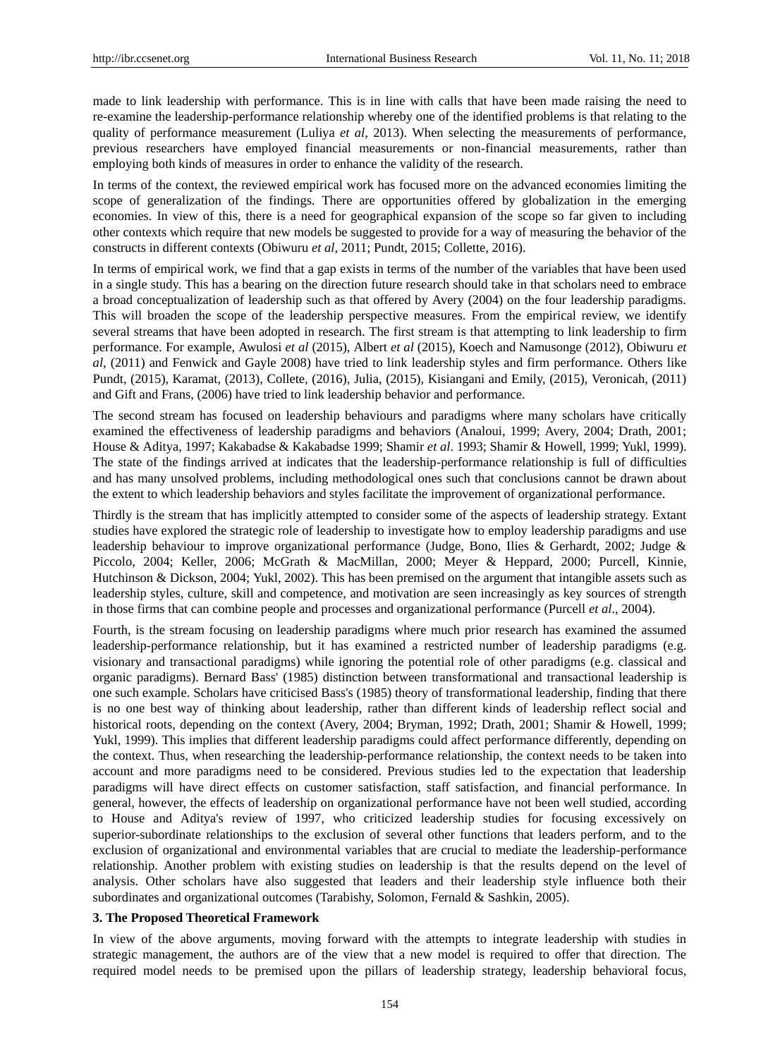made to link leadership with performance. This is in line with calls that have been made raising the need to re-examine the leadership-performance relationship whereby one of the identified problems is that relating to the quality of performance measurement (Luliya *et al*, 2013). When selecting the measurements of performance, previous researchers have employed financial measurements or non-financial measurements, rather than employing both kinds of measures in order to enhance the validity of the research.

In terms of the context, the reviewed empirical work has focused more on the advanced economies limiting the scope of generalization of the findings. There are opportunities offered by globalization in the emerging economies. In view of this, there is a need for geographical expansion of the scope so far given to including other contexts which require that new models be suggested to provide for a way of measuring the behavior of the constructs in different contexts (Obiwuru *et al*, 2011; Pundt, 2015; Collette, 2016).

In terms of empirical work, we find that a gap exists in terms of the number of the variables that have been used in a single study. This has a bearing on the direction future research should take in that scholars need to embrace a broad conceptualization of leadership such as that offered by Avery (2004) on the four leadership paradigms. This will broaden the scope of the leadership perspective measures. From the empirical review, we identify several streams that have been adopted in research. The first stream is that attempting to link leadership to firm performance. For example, Awulosi *et al* (2015), Albert *et al* (2015), Koech and Namusonge (2012), Obiwuru *et al*, (2011) and Fenwick and Gayle 2008) have tried to link leadership styles and firm performance. Others like Pundt, (2015), Karamat, (2013), Collete, (2016), Julia, (2015), Kisiangani and Emily, (2015), Veronicah, (2011) and Gift and Frans, (2006) have tried to link leadership behavior and performance.

The second stream has focused on leadership behaviours and paradigms where many scholars have critically examined the effectiveness of leadership paradigms and behaviors (Analoui, 1999; Avery, 2004; Drath, 2001; House & Aditya, 1997; Kakabadse & Kakabadse 1999; Shamir *et al*. 1993; Shamir & Howell, 1999; Yukl, 1999). The state of the findings arrived at indicates that the leadership-performance relationship is full of difficulties and has many unsolved problems, including methodological ones such that conclusions cannot be drawn about the extent to which leadership behaviors and styles facilitate the improvement of organizational performance.

Thirdly is the stream that has implicitly attempted to consider some of the aspects of leadership strategy. Extant studies have explored the strategic role of leadership to investigate how to employ leadership paradigms and use leadership behaviour to improve organizational performance (Judge, Bono, Ilies & Gerhardt, 2002; Judge & Piccolo, 2004; Keller, 2006; McGrath & MacMillan, 2000; Meyer & Heppard, 2000; Purcell, Kinnie, Hutchinson & Dickson, 2004; Yukl, 2002). This has been premised on the argument that intangible assets such as leadership styles, culture, skill and competence, and motivation are seen increasingly as key sources of strength in those firms that can combine people and processes and organizational performance (Purcell *et al*., 2004).

Fourth, is the stream focusing on leadership paradigms where much prior research has examined the assumed leadership-performance relationship, but it has examined a restricted number of leadership paradigms (e.g. visionary and transactional paradigms) while ignoring the potential role of other paradigms (e.g. classical and organic paradigms). Bernard Bass' (1985) distinction between transformational and transactional leadership is one such example. Scholars have criticised Bass's (1985) theory of transformational leadership, finding that there is no one best way of thinking about leadership, rather than different kinds of leadership reflect social and historical roots, depending on the context (Avery, 2004; Bryman, 1992; Drath, 2001; Shamir & Howell, 1999; Yukl, 1999). This implies that different leadership paradigms could affect performance differently, depending on the context. Thus, when researching the leadership-performance relationship, the context needs to be taken into account and more paradigms need to be considered. Previous studies led to the expectation that leadership paradigms will have direct effects on customer satisfaction, staff satisfaction, and financial performance. In general, however, the effects of leadership on organizational performance have not been well studied, according to House and Aditya's review of 1997, who criticized leadership studies for focusing excessively on superior-subordinate relationships to the exclusion of several other functions that leaders perform, and to the exclusion of organizational and environmental variables that are crucial to mediate the leadership-performance relationship. Another problem with existing studies on leadership is that the results depend on the level of analysis. Other scholars have also suggested that leaders and their leadership style influence both their subordinates and organizational outcomes (Tarabishy, Solomon, Fernald & Sashkin, 2005).

#### **3. The Proposed Theoretical Framework**

In view of the above arguments, moving forward with the attempts to integrate leadership with studies in strategic management, the authors are of the view that a new model is required to offer that direction. The required model needs to be premised upon the pillars of leadership strategy, leadership behavioral focus,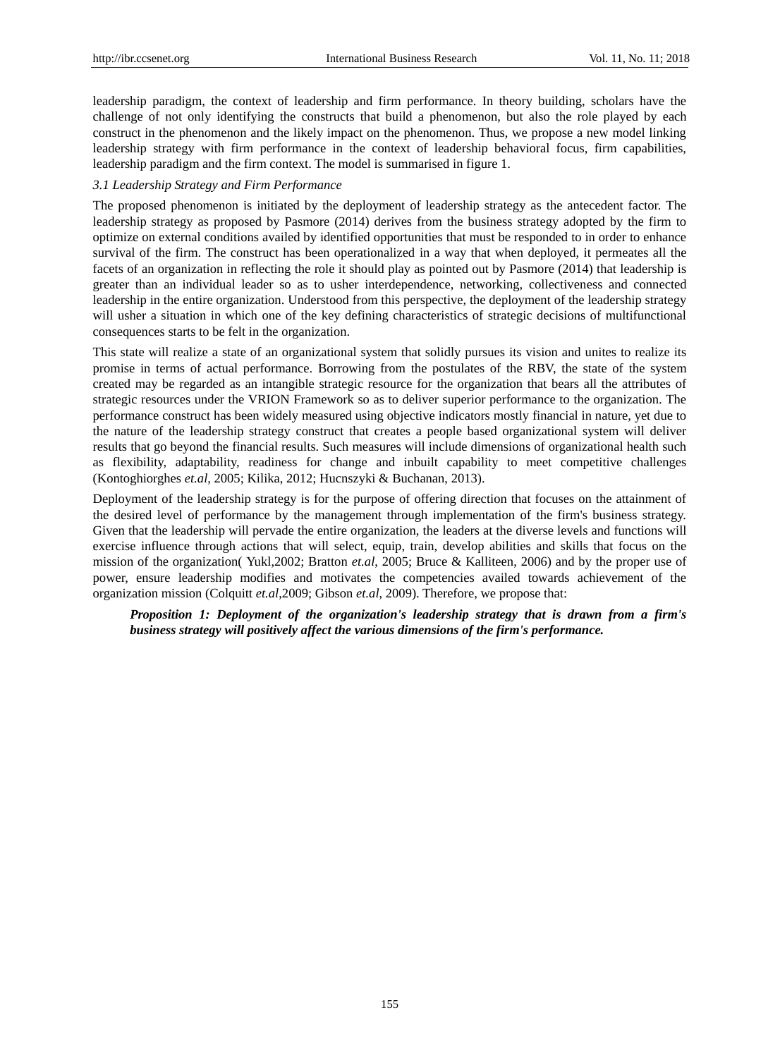leadership paradigm, the context of leadership and firm performance. In theory building, scholars have the challenge of not only identifying the constructs that build a phenomenon, but also the role played by each construct in the phenomenon and the likely impact on the phenomenon. Thus, we propose a new model linking leadership strategy with firm performance in the context of leadership behavioral focus, firm capabilities, leadership paradigm and the firm context. The model is summarised in figure 1.

# *3.1 Leadership Strategy and Firm Performance*

The proposed phenomenon is initiated by the deployment of leadership strategy as the antecedent factor. The leadership strategy as proposed by Pasmore (2014) derives from the business strategy adopted by the firm to optimize on external conditions availed by identified opportunities that must be responded to in order to enhance survival of the firm. The construct has been operationalized in a way that when deployed, it permeates all the facets of an organization in reflecting the role it should play as pointed out by Pasmore (2014) that leadership is greater than an individual leader so as to usher interdependence, networking, collectiveness and connected leadership in the entire organization. Understood from this perspective, the deployment of the leadership strategy will usher a situation in which one of the key defining characteristics of strategic decisions of multifunctional consequences starts to be felt in the organization.

This state will realize a state of an organizational system that solidly pursues its vision and unites to realize its promise in terms of actual performance. Borrowing from the postulates of the RBV, the state of the system created may be regarded as an intangible strategic resource for the organization that bears all the attributes of strategic resources under the VRION Framework so as to deliver superior performance to the organization. The performance construct has been widely measured using objective indicators mostly financial in nature, yet due to the nature of the leadership strategy construct that creates a people based organizational system will deliver results that go beyond the financial results. Such measures will include dimensions of organizational health such as flexibility, adaptability, readiness for change and inbuilt capability to meet competitive challenges (Kontoghiorghes *et.al,* 2005; Kilika, 2012; Hucnszyki & Buchanan, 2013).

Deployment of the leadership strategy is for the purpose of offering direction that focuses on the attainment of the desired level of performance by the management through implementation of the firm's business strategy. Given that the leadership will pervade the entire organization, the leaders at the diverse levels and functions will exercise influence through actions that will select, equip, train, develop abilities and skills that focus on the mission of the organization( Yukl,2002; Bratton *et.al*, 2005; Bruce & Kalliteen, 2006) and by the proper use of power, ensure leadership modifies and motivates the competencies availed towards achievement of the organization mission (Colquitt *et.al*,2009; Gibson *et.al*, 2009). Therefore, we propose that:

*Proposition 1: Deployment of the organization's leadership strategy that is drawn from a firm's business strategy will positively affect the various dimensions of the firm's performance.*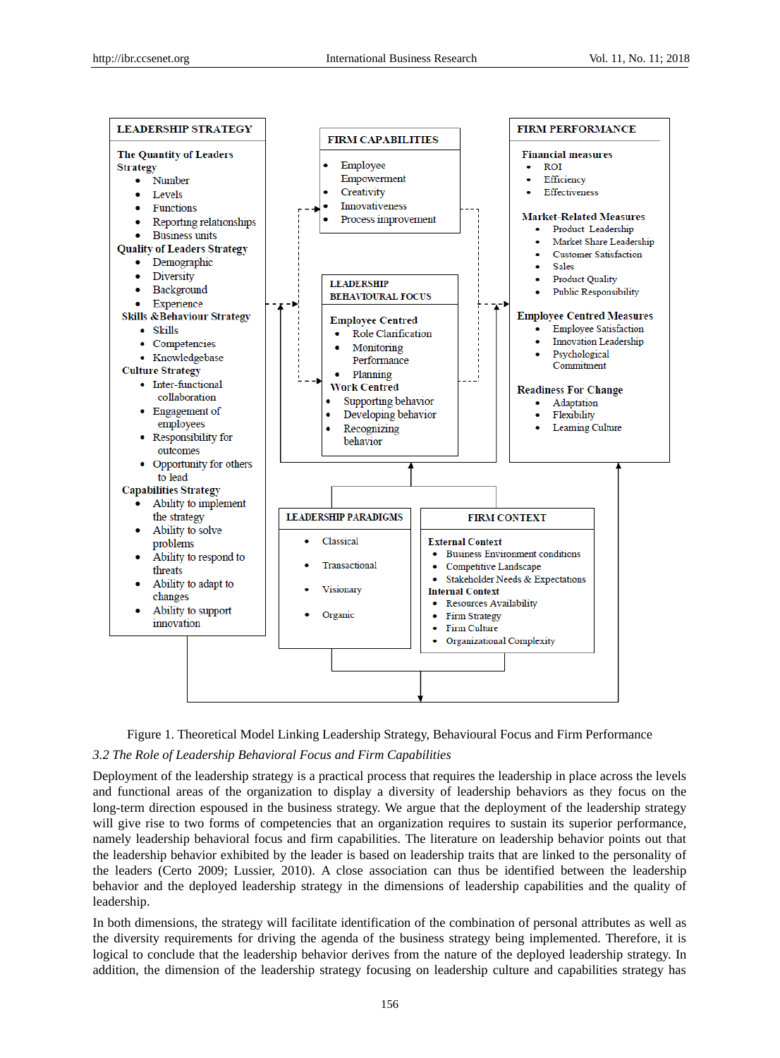



# *3.2 The Role of Leadership Behavioral Focus and Firm Capabilities*

Deployment of the leadership strategy is a practical process that requires the leadership in place across the levels and functional areas of the organization to display a diversity of leadership behaviors as they focus on the long-term direction espoused in the business strategy. We argue that the deployment of the leadership strategy will give rise to two forms of competencies that an organization requires to sustain its superior performance, namely leadership behavioral focus and firm capabilities. The literature on leadership behavior points out that the leadership behavior exhibited by the leader is based on leadership traits that are linked to the personality of the leaders (Certo 2009; Lussier, 2010). A close association can thus be identified between the leadership behavior and the deployed leadership strategy in the dimensions of leadership capabilities and the quality of leadership.

In both dimensions, the strategy will facilitate identification of the combination of personal attributes as well as the diversity requirements for driving the agenda of the business strategy being implemented. Therefore, it is logical to conclude that the leadership behavior derives from the nature of the deployed leadership strategy. In addition, the dimension of the leadership strategy focusing on leadership culture and capabilities strategy has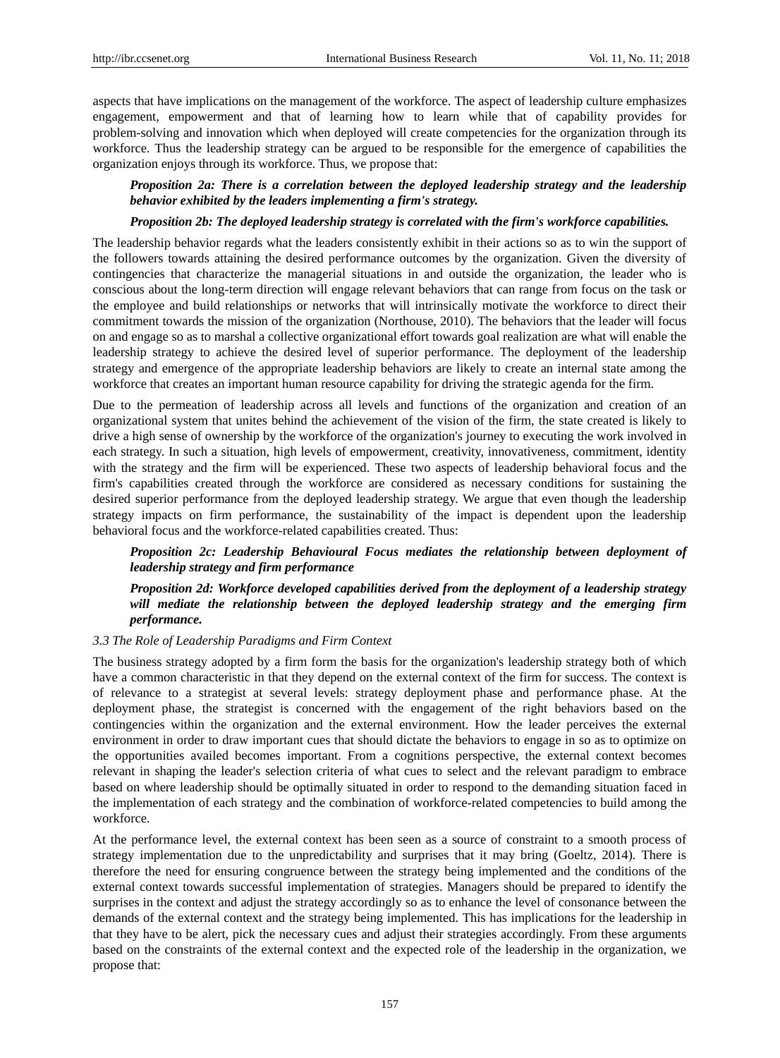aspects that have implications on the management of the workforce. The aspect of leadership culture emphasizes engagement, empowerment and that of learning how to learn while that of capability provides for problem-solving and innovation which when deployed will create competencies for the organization through its workforce. Thus the leadership strategy can be argued to be responsible for the emergence of capabilities the organization enjoys through its workforce. Thus, we propose that:

# *Proposition 2a: There is a correlation between the deployed leadership strategy and the leadership behavior exhibited by the leaders implementing a firm's strategy.*

## *Proposition 2b: The deployed leadership strategy is correlated with the firm's workforce capabilities.*

The leadership behavior regards what the leaders consistently exhibit in their actions so as to win the support of the followers towards attaining the desired performance outcomes by the organization. Given the diversity of contingencies that characterize the managerial situations in and outside the organization, the leader who is conscious about the long-term direction will engage relevant behaviors that can range from focus on the task or the employee and build relationships or networks that will intrinsically motivate the workforce to direct their commitment towards the mission of the organization (Northouse, 2010). The behaviors that the leader will focus on and engage so as to marshal a collective organizational effort towards goal realization are what will enable the leadership strategy to achieve the desired level of superior performance. The deployment of the leadership strategy and emergence of the appropriate leadership behaviors are likely to create an internal state among the workforce that creates an important human resource capability for driving the strategic agenda for the firm.

Due to the permeation of leadership across all levels and functions of the organization and creation of an organizational system that unites behind the achievement of the vision of the firm, the state created is likely to drive a high sense of ownership by the workforce of the organization's journey to executing the work involved in each strategy. In such a situation, high levels of empowerment, creativity, innovativeness, commitment, identity with the strategy and the firm will be experienced. These two aspects of leadership behavioral focus and the firm's capabilities created through the workforce are considered as necessary conditions for sustaining the desired superior performance from the deployed leadership strategy. We argue that even though the leadership strategy impacts on firm performance, the sustainability of the impact is dependent upon the leadership behavioral focus and the workforce-related capabilities created. Thus:

# *Proposition 2c: Leadership Behavioural Focus mediates the relationship between deployment of leadership strategy and firm performance*

*Proposition 2d: Workforce developed capabilities derived from the deployment of a leadership strategy will mediate the relationship between the deployed leadership strategy and the emerging firm performance.* 

# *3.3 The Role of Leadership Paradigms and Firm Context*

The business strategy adopted by a firm form the basis for the organization's leadership strategy both of which have a common characteristic in that they depend on the external context of the firm for success. The context is of relevance to a strategist at several levels: strategy deployment phase and performance phase. At the deployment phase, the strategist is concerned with the engagement of the right behaviors based on the contingencies within the organization and the external environment. How the leader perceives the external environment in order to draw important cues that should dictate the behaviors to engage in so as to optimize on the opportunities availed becomes important. From a cognitions perspective, the external context becomes relevant in shaping the leader's selection criteria of what cues to select and the relevant paradigm to embrace based on where leadership should be optimally situated in order to respond to the demanding situation faced in the implementation of each strategy and the combination of workforce-related competencies to build among the workforce.

At the performance level, the external context has been seen as a source of constraint to a smooth process of strategy implementation due to the unpredictability and surprises that it may bring (Goeltz, 2014). There is therefore the need for ensuring congruence between the strategy being implemented and the conditions of the external context towards successful implementation of strategies. Managers should be prepared to identify the surprises in the context and adjust the strategy accordingly so as to enhance the level of consonance between the demands of the external context and the strategy being implemented. This has implications for the leadership in that they have to be alert, pick the necessary cues and adjust their strategies accordingly. From these arguments based on the constraints of the external context and the expected role of the leadership in the organization, we propose that: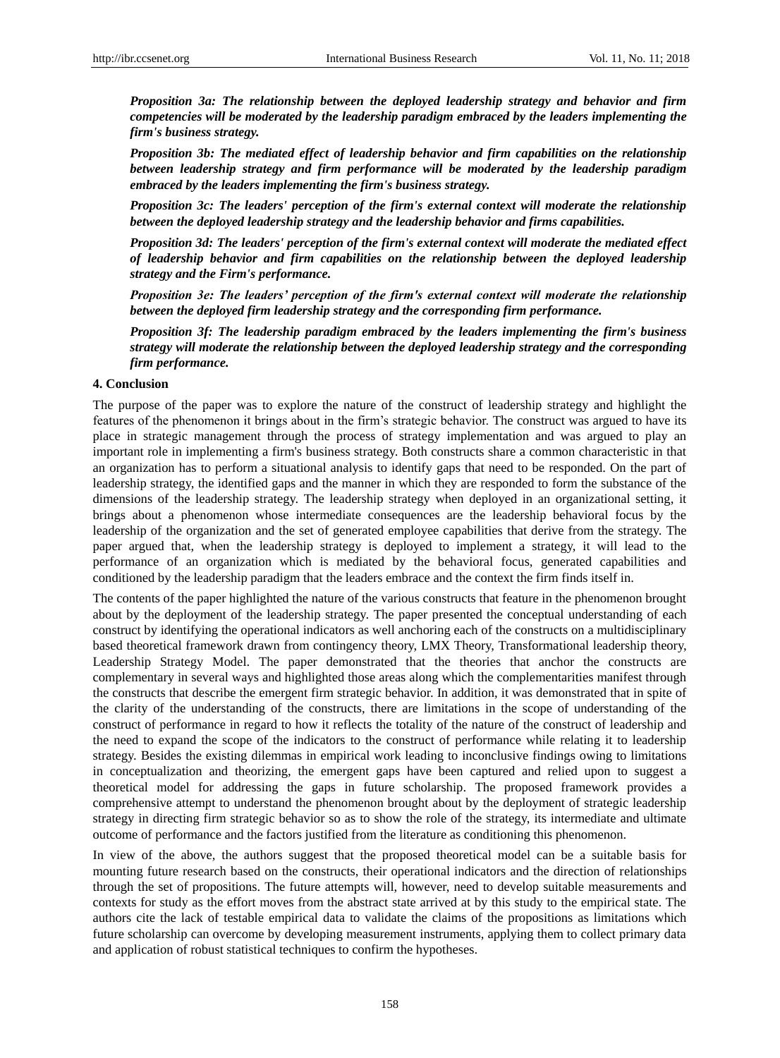*Proposition 3a: The relationship between the deployed leadership strategy and behavior and firm competencies will be moderated by the leadership paradigm embraced by the leaders implementing the firm's business strategy.*

*Proposition 3b: The mediated effect of leadership behavior and firm capabilities on the relationship between leadership strategy and firm performance will be moderated by the leadership paradigm embraced by the leaders implementing the firm's business strategy.*

*Proposition 3c: The leaders' perception of the firm's external context will moderate the relationship between the deployed leadership strategy and the leadership behavior and firms capabilities.*

*Proposition 3d: The leaders' perception of the firm's external context will moderate the mediated effect of leadership behavior and firm capabilities on the relationship between the deployed leadership strategy and the Firm's performance.* 

*Proposition 3e: The leaders' perception of the firm's external context will moderate the relationship between the deployed firm leadership strategy and the corresponding firm performance.*

*Proposition 3f: The leadership paradigm embraced by the leaders implementing the firm's business strategy will moderate the relationship between the deployed leadership strategy and the corresponding firm performance.*

#### **4. Conclusion**

The purpose of the paper was to explore the nature of the construct of leadership strategy and highlight the features of the phenomenon it brings about in the firm's strategic behavior. The construct was argued to have its place in strategic management through the process of strategy implementation and was argued to play an important role in implementing a firm's business strategy. Both constructs share a common characteristic in that an organization has to perform a situational analysis to identify gaps that need to be responded. On the part of leadership strategy, the identified gaps and the manner in which they are responded to form the substance of the dimensions of the leadership strategy. The leadership strategy when deployed in an organizational setting, it brings about a phenomenon whose intermediate consequences are the leadership behavioral focus by the leadership of the organization and the set of generated employee capabilities that derive from the strategy. The paper argued that, when the leadership strategy is deployed to implement a strategy, it will lead to the performance of an organization which is mediated by the behavioral focus, generated capabilities and conditioned by the leadership paradigm that the leaders embrace and the context the firm finds itself in.

The contents of the paper highlighted the nature of the various constructs that feature in the phenomenon brought about by the deployment of the leadership strategy. The paper presented the conceptual understanding of each construct by identifying the operational indicators as well anchoring each of the constructs on a multidisciplinary based theoretical framework drawn from contingency theory, LMX Theory, Transformational leadership theory, Leadership Strategy Model. The paper demonstrated that the theories that anchor the constructs are complementary in several ways and highlighted those areas along which the complementarities manifest through the constructs that describe the emergent firm strategic behavior. In addition, it was demonstrated that in spite of the clarity of the understanding of the constructs, there are limitations in the scope of understanding of the construct of performance in regard to how it reflects the totality of the nature of the construct of leadership and the need to expand the scope of the indicators to the construct of performance while relating it to leadership strategy. Besides the existing dilemmas in empirical work leading to inconclusive findings owing to limitations in conceptualization and theorizing, the emergent gaps have been captured and relied upon to suggest a theoretical model for addressing the gaps in future scholarship. The proposed framework provides a comprehensive attempt to understand the phenomenon brought about by the deployment of strategic leadership strategy in directing firm strategic behavior so as to show the role of the strategy, its intermediate and ultimate outcome of performance and the factors justified from the literature as conditioning this phenomenon.

In view of the above, the authors suggest that the proposed theoretical model can be a suitable basis for mounting future research based on the constructs, their operational indicators and the direction of relationships through the set of propositions. The future attempts will, however, need to develop suitable measurements and contexts for study as the effort moves from the abstract state arrived at by this study to the empirical state. The authors cite the lack of testable empirical data to validate the claims of the propositions as limitations which future scholarship can overcome by developing measurement instruments, applying them to collect primary data and application of robust statistical techniques to confirm the hypotheses.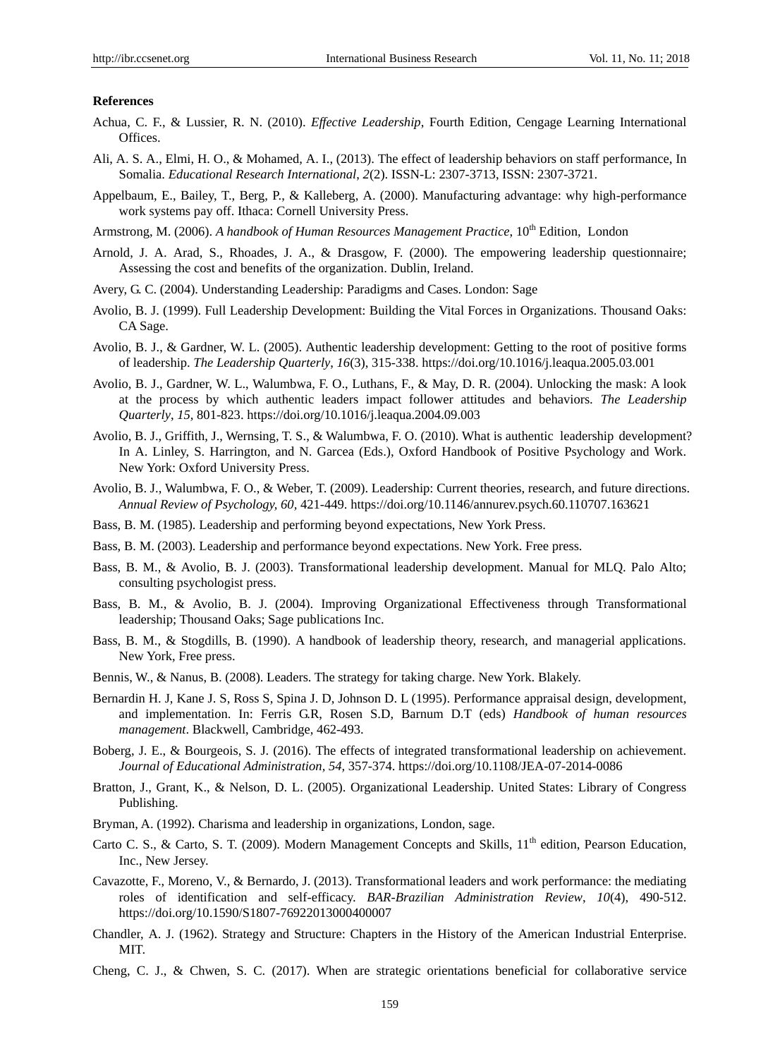#### **References**

- Achua, C. F., & Lussier, R. N. (2010). *Effective Leadership*, Fourth Edition, Cengage Learning International Offices.
- Ali, A. S. A., Elmi, H. O., & Mohamed, A. I., (2013). The effect of leadership behaviors on staff performance, In Somalia. *Educational Research International*, *2*(2). ISSN-L: 2307-3713, ISSN: 2307-3721.
- Appelbaum, E., Bailey, T., Berg, P., & Kalleberg, A. (2000). Manufacturing advantage: why high-performance work systems pay off. Ithaca: Cornell University Press.
- Armstrong, M. (2006). *A handbook of Human Resources Management Practice*, 10<sup>th</sup> Edition, London
- Arnold, J. A. Arad, S., Rhoades, J. A., & Drasgow, F. (2000). The empowering leadership questionnaire; Assessing the cost and benefits of the organization. Dublin, Ireland.
- Avery, G. C. (2004). Understanding Leadership: Paradigms and Cases. London: Sage
- Avolio, B. J. (1999). Full Leadership Development: Building the Vital Forces in Organizations. Thousand Oaks: CA Sage.
- Avolio, B. J., & Gardner, W. L. (2005). Authentic leadership development: Getting to the root of positive forms of leadership. *The Leadership Quarterly*, *16*(3), 315-338. https://doi.org/10.1016/j.leaqua.2005.03.001
- Avolio, B. J., Gardner, W. L., Walumbwa, F. O., Luthans, F., & May, D. R. (2004). Unlocking the mask: A look at the process by which authentic leaders impact follower attitudes and behaviors. *The Leadership Quarterly*, *15,* 801-823. https://doi.org/10.1016/j.leaqua.2004.09.003
- Avolio, B. J., Griffith, J., Wernsing, T. S., & Walumbwa, F. O. (2010). What is authentic leadership development? In A. Linley, S. Harrington, and N. Garcea (Eds.), Oxford Handbook of Positive Psychology and Work. New York: Oxford University Press.
- Avolio, B. J., Walumbwa, F. O., & Weber, T. (2009). Leadership: Current theories, research, and future directions. *Annual Review of Psychology, 60,* 421-449. https://doi.org/10.1146/annurev.psych.60.110707.163621
- Bass, B. M. (1985). Leadership and performing beyond expectations, New York Press.
- Bass, B. M. (2003). Leadership and performance beyond expectations. New York. Free press.
- Bass, B. M., & Avolio, B. J. (2003). Transformational leadership development. Manual for MLQ. Palo Alto; consulting psychologist press.
- Bass, B. M., & Avolio, B. J. (2004). Improving Organizational Effectiveness through Transformational leadership; Thousand Oaks; Sage publications Inc.
- Bass, B. M., & Stogdills, B. (1990). A handbook of leadership theory, research, and managerial applications. New York, Free press.
- Bennis, W., & Nanus, B. (2008). Leaders. The strategy for taking charge. New York. Blakely.
- Bernardin H. J, Kane J. S, Ross S, Spina J. D, Johnson D. L (1995). Performance appraisal design, development, and implementation. In: Ferris G.R, Rosen S.D, Barnum D.T (eds) *Handbook of human resources management*. Blackwell, Cambridge, 462-493.
- Boberg, J. E., & Bourgeois, S. J. (2016). The effects of integrated transformational leadership on achievement. *Journal of Educational Administration, 54,* 357-374. https://doi.org/10.1108/JEA-07-2014-0086
- Bratton, J., Grant, K., & Nelson, D. L. (2005). Organizational Leadership. United States: Library of Congress Publishing.
- Bryman, A. (1992). Charisma and leadership in organizations, London, sage.
- Carto C. S., & Carto, S. T. (2009). Modern Management Concepts and Skills, 11<sup>th</sup> edition, Pearson Education, Inc., New Jersey.
- Cavazotte, F., Moreno, V., & Bernardo, J. (2013). Transformational leaders and work performance: the mediating roles of identification and self-efficacy. *BAR-Brazilian Administration Review*, *10*(4), 490-512. https://doi.org/10.1590/S1807-76922013000400007
- Chandler, A. J. (1962). Strategy and Structure: Chapters in the History of the American Industrial Enterprise. MIT.
- Cheng, C. J., & Chwen, S. C. (2017). When are strategic orientations beneficial for collaborative service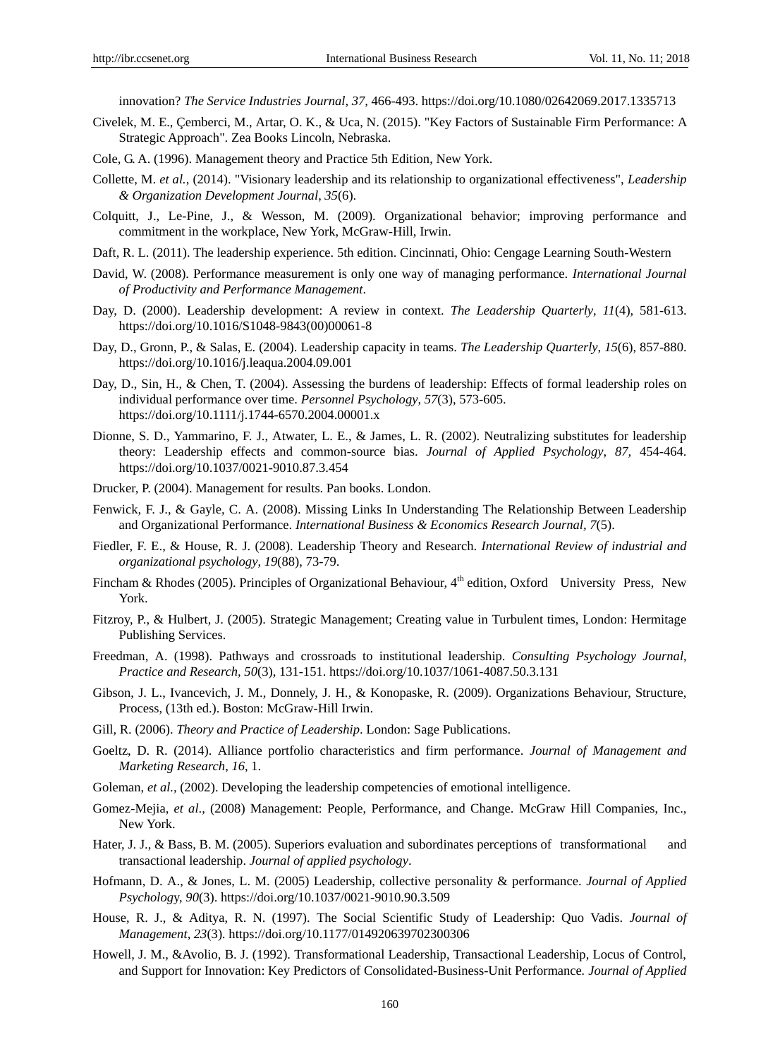innovation? *The Service Industries Journal, 37,* 466-493. https://doi.org/10.1080/02642069.2017.1335713

- Civelek, M. E., Çemberci, M., Artar, O. K., & Uca, N. (2015). "Key Factors of Sustainable Firm Performance: A Strategic Approach". Zea Books Lincoln, Nebraska.
- Cole, G. A. (1996). Management theory and Practice 5th Edition, New York.
- Collette, M. *et al.*, (2014). "Visionary leadership and its relationship to organizational effectiveness", *Leadership & Organization Development Journal*, *35*(6).
- Colquitt, J., Le-Pine, J., & Wesson, M. (2009). Organizational behavior; improving performance and commitment in the workplace, New York, McGraw-Hill, Irwin.
- Daft, R. L. (2011). The leadership experience. 5th edition. Cincinnati, Ohio: Cengage Learning South-Western
- David, W. (2008). Performance measurement is only one way of managing performance. *International Journal of Productivity and Performance Management*.
- Day, D. (2000). Leadership development: A review in context. *The Leadership Quarterly*, *11*(4), 581-613. https://doi.org/10.1016/S1048-9843(00)00061-8
- Day, D., Gronn, P., & Salas, E. (2004). Leadership capacity in teams. *The Leadership Quarterly*, *15*(6), 857-880. https://doi.org/10.1016/j.leaqua.2004.09.001
- Day, D., Sin, H., & Chen, T. (2004). Assessing the burdens of leadership: Effects of formal leadership roles on individual performance over time. *Personnel Psychology*, *57*(3), 573-605. https://doi.org/10.1111/j.1744-6570.2004.00001.x
- Dionne, S. D., Yammarino, F. J., Atwater, L. E., & James, L. R. (2002). Neutralizing substitutes for leadership theory: Leadership effects and common-source bias. *Journal of Applied Psychology*, *87,* 454-464. https://doi.org/10.1037/0021-9010.87.3.454
- Drucker, P. (2004). Management for results. Pan books. London.
- Fenwick, F. J., & Gayle, C. A. (2008). Missing Links In Understanding The Relationship Between Leadership and Organizational Performance. *International Business & Economics Research Journal, 7*(5).
- Fiedler, F. E., & House, R. J. (2008). Leadership Theory and Research. *International Review of industrial and organizational psychology*, *19*(88), 73-79.
- Fincham & Rhodes (2005). Principles of Organizational Behaviour, 4<sup>th</sup> edition, Oxford University Press. New York.
- Fitzroy, P., & Hulbert, J. (2005). Strategic Management; Creating value in Turbulent times, London: Hermitage Publishing Services.
- Freedman, A. (1998). Pathways and crossroads to institutional leadership. *Consulting Psychology Journal*, *Practice and Research, 50*(3), 131-151. https://doi.org/10.1037/1061-4087.50.3.131
- Gibson, J. L., Ivancevich, J. M., Donnely, J. H., & Konopaske, R. (2009). Organizations Behaviour, Structure, Process, (13th ed.). Boston: McGraw-Hill Irwin.
- Gill, R. (2006). *Theory and Practice of Leadership*. London: Sage Publications.
- Goeltz, D. R. (2014). Alliance portfolio characteristics and firm performance. *Journal of Management and Marketing Research*, *16*, 1.
- Goleman, *et al.*, (2002). Developing the leadership competencies of emotional intelligence.
- Gomez-Mejia, *et al*., (2008) Management: People, Performance, and Change. McGraw Hill Companies, Inc., New York.
- Hater, J. J., & Bass, B. M. (2005). Superiors evaluation and subordinates perceptions of transformational and transactional leadership. *Journal of applied psychology*.
- Hofmann, D. A., & Jones, L. M. (2005) Leadership, collective personality & performance. *Journal of Applied Psycholog*y, *90*(3). https://doi.org/10.1037/0021-9010.90.3.509
- House, R. J., & Aditya, R. N. (1997). The Social Scientific Study of Leadership: Quo Vadis. *Journal of Management, 23*(3)*.* https://doi.org/10.1177/014920639702300306
- Howell, J. M., &Avolio, B. J. (1992). Transformational Leadership, Transactional Leadership, Locus of Control, and Support for Innovation: Key Predictors of Consolidated-Business-Unit Performance*. Journal of Applied*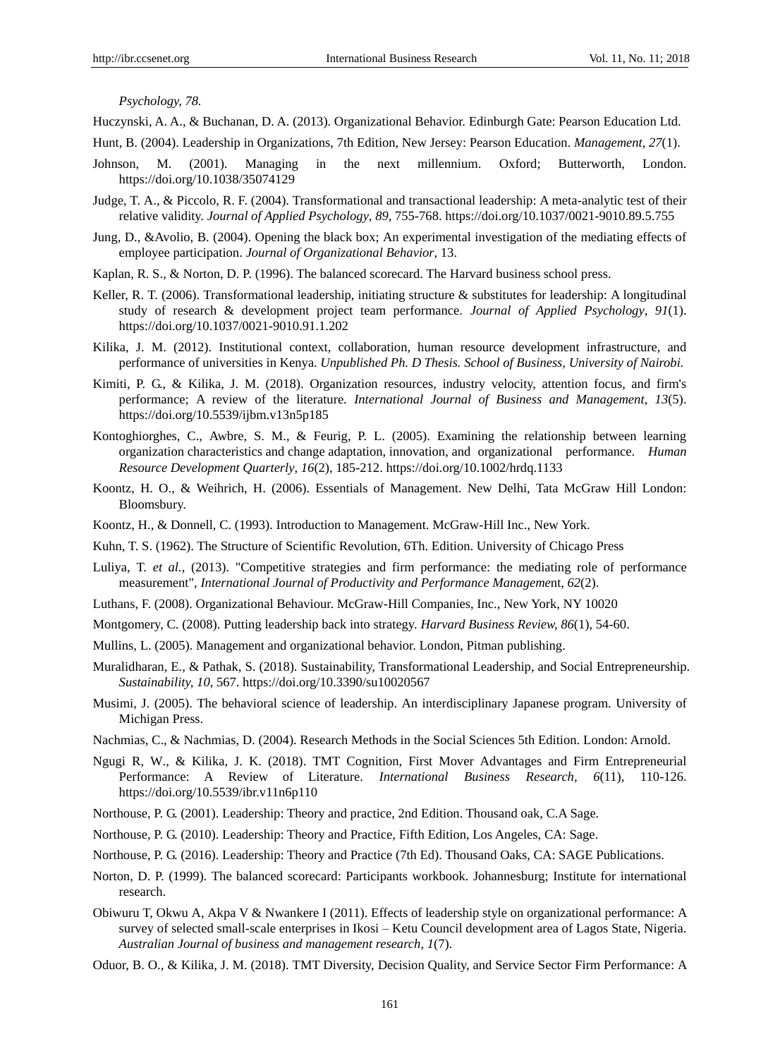*Psychology, 78.*

Huczynski, A. A., & Buchanan, D. A. (2013). Organizational Behavior. Edinburgh Gate: Pearson Education Ltd.

- Hunt, B. (2004). Leadership in Organizations, 7th Edition, New Jersey: Pearson Education. *Management, 27*(1).
- Johnson, M. (2001). Managing in the next millennium. Oxford; Butterworth, London. https://doi.org/10.1038/35074129
- Judge, T. A., & Piccolo, R. F. (2004). Transformational and transactional leadership: A meta-analytic test of their relative validity. *Journal of Applied Psychology*, *89,* 755-768. https://doi.org/10.1037/0021-9010.89.5.755
- Jung, D., &Avolio, B. (2004). Opening the black box; An experimental investigation of the mediating effects of employee participation. *Journal of Organizational Behavior*, 13.
- Kaplan, R. S., & Norton, D. P. (1996). The balanced scorecard. The Harvard business school press.
- Keller, R. T. (2006). Transformational leadership, initiating structure & substitutes for leadership: A longitudinal study of research & development project team performance. *Journal of Applied Psychology*, *91*(1). https://doi.org/10.1037/0021-9010.91.1.202
- Kilika, J. M. (2012). Institutional context, collaboration, human resource development infrastructure, and performance of universities in Kenya. *Unpublished Ph. D Thesis. School of Business, University of Nairobi.*
- Kimiti, P. G., & Kilika, J. M. (2018). Organization resources, industry velocity, attention focus, and firm's performance; A review of the literature. *International Journal of Business and Management*, *13*(5). https://doi.org/10.5539/ijbm.v13n5p185
- Kontoghiorghes, C., Awbre, S. M., & Feurig, P. L. (2005). Examining the relationship between learning organization characteristics and change adaptation, innovation, and organizational performance. *Human Resource Development Quarterly*, *16*(2), 185-212. https://doi.org/10.1002/hrdq.1133
- Koontz, H. O., & Weihrich, H. (2006). Essentials of Management. New Delhi, Tata McGraw Hill London: Bloomsbury.
- Koontz, H., & Donnell, C. (1993). Introduction to Management. McGraw-Hill Inc., New York.
- Kuhn, T. S. (1962). The Structure of Scientific Revolution, 6Th. Edition. University of Chicago Press
- Luliya, T. *et al.*, (2013). "Competitive strategies and firm performance: the mediating role of performance measurement", *International Journal of Productivity and Performance Manageme*nt, *62*(2).
- Luthans, F. (2008). Organizational Behaviour. McGraw-Hill Companies, Inc., New York, NY 10020
- Montgomery, C. (2008). Putting leadership back into strategy. *Harvard Business Review, 86*(1), 54-60.
- Mullins, L. (2005). Management and organizational behavior. London, Pitman publishing.
- Muralidharan, E., & Pathak, S. (2018). Sustainability, Transformational Leadership, and Social Entrepreneurship. *Sustainability, 10,* 567. https://doi.org/10.3390/su10020567
- Musimi, J. (2005). The behavioral science of leadership. An interdisciplinary Japanese program. University of Michigan Press.
- Nachmias, C., & Nachmias, D. (2004). Research Methods in the Social Sciences 5th Edition. London: Arnold.
- Ngugi R, W., & Kilika, J. K. (2018). TMT Cognition, First Mover Advantages and Firm Entrepreneurial Performance: A Review of Literature. *[International Business Research,](https://econpapers.repec.org/article/ibnibrjnl/) 6*(11), 110-126. https://doi.org/10.5539/ibr.v11n6p110
- Northouse, P. G. (2001). Leadership: Theory and practice, 2nd Edition. Thousand oak, C.A Sage.
- Northouse, P. G. (2010). Leadership: Theory and Practice, Fifth Edition, Los Angeles, CA: Sage.
- Northouse, P. G. (2016). Leadership: Theory and Practice (7th Ed). Thousand Oaks, CA: SAGE Publications.
- Norton, D. P. (1999). The balanced scorecard: Participants workbook. Johannesburg; Institute for international research.
- Obiwuru T, Okwu A, Akpa V & Nwankere I (2011). Effects of leadership style on organizational performance: A survey of selected small-scale enterprises in Ikosi – Ketu Council development area of Lagos State, Nigeria. *Australian Journal of business and management research, 1*(7).
- Oduor, B. O., & Kilika, J. M. (2018). TMT Diversity, Decision Quality, and Service Sector Firm Performance: A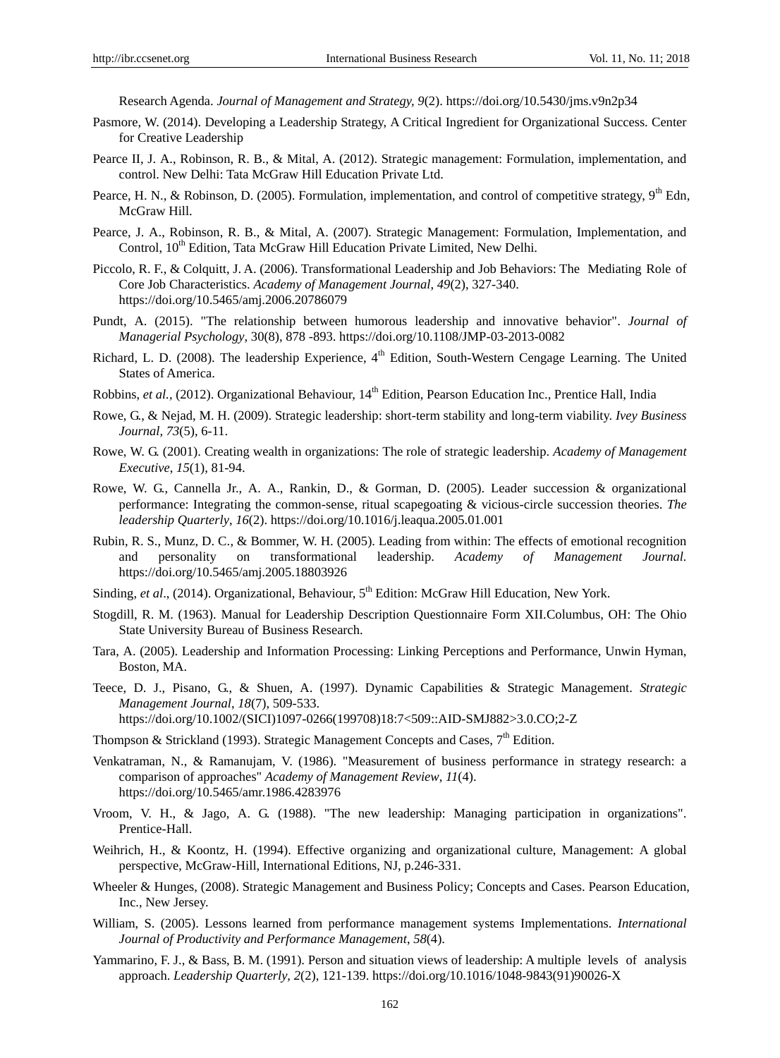Research Agenda. *Journal of Management and Strategy, 9*(2). https://doi.org/10.5430/jms.v9n2p34

- Pasmore, W. (2014). Developing a Leadership Strategy, A Critical Ingredient for Organizational Success. Center for Creative Leadership
- Pearce II, J. A., Robinson, R. B., & Mital, A. (2012). Strategic management: Formulation, implementation, and control. New Delhi: Tata McGraw Hill Education Private Ltd.
- Pearce, H. N., & Robinson, D. (2005). Formulation, implementation, and control of competitive strategy,  $9^{th}$  Edn, McGraw Hill.
- Pearce, J. A., Robinson, R. B., & Mital, A. (2007). Strategic Management: Formulation, Implementation, and Control, 10<sup>th</sup> Edition, Tata McGraw Hill Education Private Limited, New Delhi.
- Piccolo, R. F., & Colquitt, J. A. (2006). Transformational Leadership and Job Behaviors: The Mediating Role of Core Job Characteristics. *Academy of Management Journal*, *49*(2), 327-340. https://doi.org/10.5465/amj.2006.20786079
- Pundt, A. (2015). "The relationship between humorous leadership and innovative behavior". *Journal of Managerial Psychology*, 30(8), 878 -893. https://doi.org/10.1108/JMP-03-2013-0082
- Richard, L. D. (2008). The leadership Experience, 4<sup>th</sup> Edition, South-Western Cengage Learning. The United States of America.
- Robbins, *et al.*, (2012). Organizational Behaviour, 14<sup>th</sup> Edition, Pearson Education Inc., Prentice Hall, India
- Rowe, G., & Nejad, M. H. (2009). Strategic leadership: short-term stability and long-term viability. *Ivey Business Journal, 73*(5), 6-11.
- Rowe, W. G. (2001). Creating wealth in organizations: The role of strategic leadership. *Academy of Management Executive*, *15*(1), 81-94.
- Rowe, W. G., Cannella Jr., A. A., Rankin, D., & Gorman, D. (2005). Leader succession & organizational performance: Integrating the common-sense, ritual scapegoating & vicious-circle succession theories. *The leadership Quarterly*, *16*(2). https://doi.org/10.1016/j.leaqua.2005.01.001
- Rubin, R. S., Munz, D. C., & Bommer, W. H. (2005). Leading from within: The effects of emotional recognition and personality on transformational leadership. *Academy of Management Journal.*  https://doi.org/10.5465/amj.2005.18803926
- Sinding, *et al.*, (2014). Organizational, Behaviour, 5<sup>th</sup> Edition: McGraw Hill Education, New York.
- Stogdill, R. M. (1963). Manual for Leadership Description Questionnaire Form XII.Columbus, OH: The Ohio State University Bureau of Business Research.
- Tara, A. (2005). Leadership and Information Processing: Linking Perceptions and Performance, Unwin Hyman, Boston, MA.
- Teece, D. J., Pisano, G., & Shuen, A. (1997). Dynamic Capabilities & Strategic Management. *Strategic Management Journal*, *18*(7), 509-533. https://doi.org/10.1002/(SICI)1097-0266(199708)18:7<509::AID-SMJ882>3.0.CO;2-Z
- Thompson & Strickland (1993). Strategic Management Concepts and Cases,  $7<sup>th</sup>$  Edition.
- Venkatraman, N., & Ramanujam, V. (1986). "Measurement of business performance in strategy research: a comparison of approaches" *Academy of Management Review*, *11*(4). https://doi.org/10.5465/amr.1986.4283976
- Vroom, V. H., & Jago, A. G. (1988). "The new leadership: Managing participation in organizations". Prentice-Hall.
- Weihrich, H., & Koontz, H. (1994). Effective organizing and organizational culture, Management: A global perspective, McGraw-Hill, International Editions, NJ, p.246-331.
- Wheeler & Hunges, (2008). Strategic Management and Business Policy; Concepts and Cases. Pearson Education, Inc., New Jersey.
- William, S. (2005). Lessons learned from performance management systems Implementations. *International Journal of Productivity and Performance Management*, *58*(4).
- Yammarino, F. J., & Bass, B. M. (1991). Person and situation views of leadership: A multiple levels of analysis approach. *Leadership Quarterly*, *2*(2), 121-139. https://doi.org/10.1016/1048-9843(91)90026-X